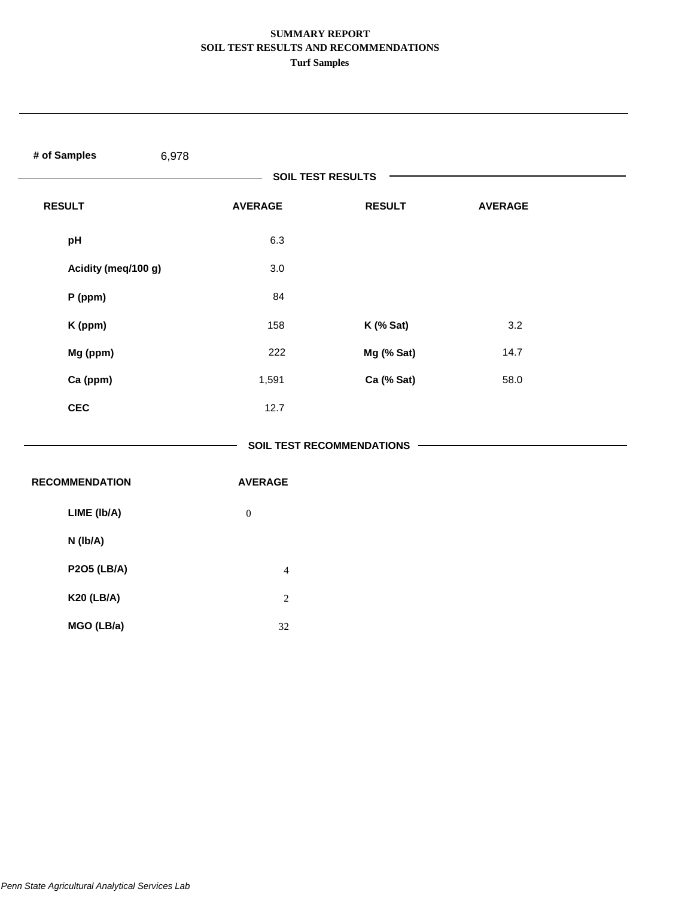| # of Samples<br>6,978 |                  |                                  |                |  |
|-----------------------|------------------|----------------------------------|----------------|--|
|                       |                  | <b>SOIL TEST RESULTS</b>         |                |  |
| <b>RESULT</b>         | <b>AVERAGE</b>   | <b>RESULT</b>                    | <b>AVERAGE</b> |  |
| pH                    | 6.3              |                                  |                |  |
| Acidity (meq/100 g)   | 3.0              |                                  |                |  |
| P (ppm)               | 84               |                                  |                |  |
| K (ppm)               | 158              | K (% Sat)                        | 3.2            |  |
| Mg (ppm)              | 222              | Mg (% Sat)                       | 14.7           |  |
| Ca (ppm)              | 1,591            | Ca (% Sat)                       | 58.0           |  |
| <b>CEC</b>            | 12.7             |                                  |                |  |
|                       |                  | <b>SOIL TEST RECOMMENDATIONS</b> |                |  |
| <b>RECOMMENDATION</b> | <b>AVERAGE</b>   |                                  |                |  |
| LIME (Ib/A)           | $\boldsymbol{0}$ |                                  |                |  |
| N (Ib/A)              |                  |                                  |                |  |
| <b>P2O5 (LB/A)</b>    | $\overline{4}$   |                                  |                |  |
| <b>K20 (LB/A)</b>     | $\sqrt{2}$       |                                  |                |  |
| MGO (LB/a)            | $32\,$           |                                  |                |  |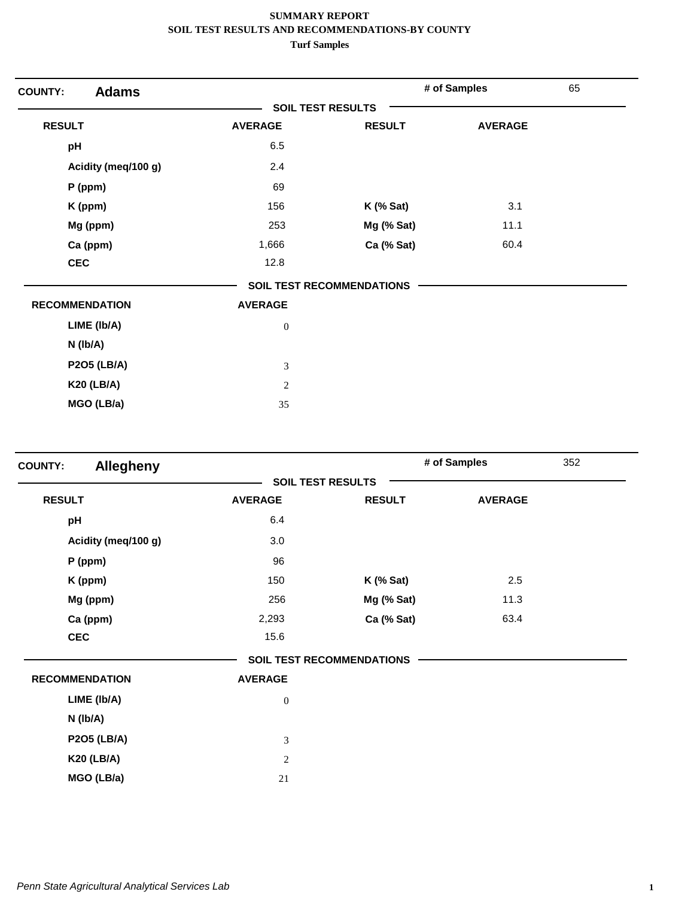| <b>Adams</b><br><b>COUNTY:</b> |                          |                                  | # of Samples   | 65 |
|--------------------------------|--------------------------|----------------------------------|----------------|----|
|                                | <b>SOIL TEST RESULTS</b> |                                  |                |    |
| <b>RESULT</b>                  | <b>AVERAGE</b>           | <b>RESULT</b>                    | <b>AVERAGE</b> |    |
| pH                             | 6.5                      |                                  |                |    |
| Acidity (meq/100 g)            | 2.4                      |                                  |                |    |
| $P$ (ppm)                      | 69                       |                                  |                |    |
| K (ppm)                        | 156                      | $K$ (% Sat)                      | 3.1            |    |
| Mg (ppm)                       | 253                      | Mg (% Sat)                       | 11.1           |    |
| Ca (ppm)                       | 1,666                    | Ca (% Sat)                       | 60.4           |    |
| <b>CEC</b>                     | 12.8                     |                                  |                |    |
|                                |                          | <b>SOIL TEST RECOMMENDATIONS</b> |                |    |
| <b>RECOMMENDATION</b>          | <b>AVERAGE</b>           |                                  |                |    |
| LIME (Ib/A)                    | $\boldsymbol{0}$         |                                  |                |    |
| $N$ (lb/A)                     |                          |                                  |                |    |
| <b>P2O5 (LB/A)</b>             | 3                        |                                  |                |    |
| <b>K20 (LB/A)</b>              | $\overline{2}$           |                                  |                |    |
| MGO (LB/a)                     | 35                       |                                  |                |    |

| <b>Allegheny</b>      |                          |                                  | # of Samples   | 352 |
|-----------------------|--------------------------|----------------------------------|----------------|-----|
|                       | <b>SOIL TEST RESULTS</b> |                                  |                |     |
| <b>RESULT</b>         | <b>AVERAGE</b>           | <b>RESULT</b>                    | <b>AVERAGE</b> |     |
| pH                    | 6.4                      |                                  |                |     |
| Acidity (meq/100 g)   | 3.0                      |                                  |                |     |
| $P$ (ppm)             | 96                       |                                  |                |     |
| K (ppm)               | 150                      | $K$ (% Sat)                      | 2.5            |     |
| Mg (ppm)              | 256                      | Mg (% Sat)                       | 11.3           |     |
| Ca (ppm)              | 2,293                    | Ca (% Sat)                       | 63.4           |     |
| <b>CEC</b>            | 15.6                     |                                  |                |     |
|                       |                          | <b>SOIL TEST RECOMMENDATIONS</b> |                |     |
| <b>RECOMMENDATION</b> | <b>AVERAGE</b>           |                                  |                |     |
| LIME (Ib/A)           | $\boldsymbol{0}$         |                                  |                |     |
| N (Ib/A)              |                          |                                  |                |     |
| <b>P2O5 (LB/A)</b>    | 3                        |                                  |                |     |
| <b>K20 (LB/A)</b>     | $\sqrt{2}$               |                                  |                |     |
| MGO (LB/a)            | 21                       |                                  |                |     |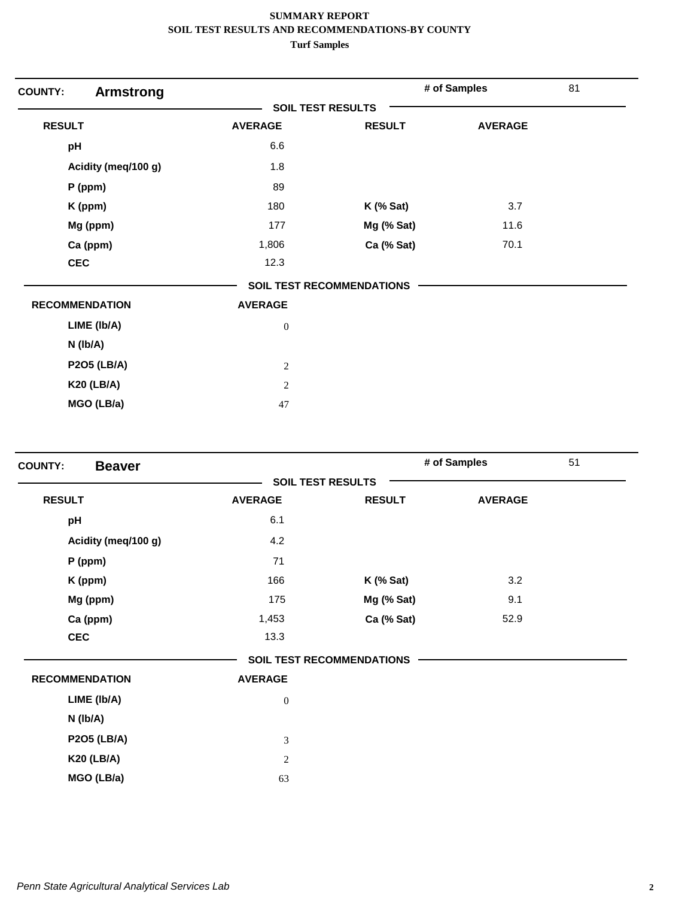| <b>COUNTY:</b><br><b>Armstrong</b> |                          |                                  | # of Samples   | 81 |
|------------------------------------|--------------------------|----------------------------------|----------------|----|
|                                    | <b>SOIL TEST RESULTS</b> |                                  |                |    |
| <b>RESULT</b>                      | <b>AVERAGE</b>           | <b>RESULT</b>                    | <b>AVERAGE</b> |    |
| pH                                 | 6.6                      |                                  |                |    |
| Acidity (meq/100 g)                | 1.8                      |                                  |                |    |
| P (ppm)                            | 89                       |                                  |                |    |
| K (ppm)                            | 180                      | $K$ (% Sat)                      | 3.7            |    |
| Mg (ppm)                           | 177                      | Mg (% Sat)                       | 11.6           |    |
| Ca (ppm)                           | 1,806                    | Ca (% Sat)                       | 70.1           |    |
| <b>CEC</b>                         | 12.3                     |                                  |                |    |
|                                    |                          | <b>SOIL TEST RECOMMENDATIONS</b> |                |    |
| <b>RECOMMENDATION</b>              | <b>AVERAGE</b>           |                                  |                |    |
| LIME (Ib/A)                        | $\boldsymbol{0}$         |                                  |                |    |
| $N$ (lb/A)                         |                          |                                  |                |    |
| <b>P2O5 (LB/A)</b>                 | $\sqrt{2}$               |                                  |                |    |
| <b>K20 (LB/A)</b>                  | $\mathbf{2}$             |                                  |                |    |
| MGO (LB/a)                         | 47                       |                                  |                |    |

| <b>COUNTY:</b><br><b>Beaver</b> |                |                                  | # of Samples   | 51 |
|---------------------------------|----------------|----------------------------------|----------------|----|
|                                 |                | <b>SOIL TEST RESULTS</b>         |                |    |
| <b>RESULT</b>                   | <b>AVERAGE</b> | <b>RESULT</b>                    | <b>AVERAGE</b> |    |
| pH                              | 6.1            |                                  |                |    |
| Acidity (meg/100 g)             | 4.2            |                                  |                |    |
| P (ppm)                         | 71             |                                  |                |    |
| K (ppm)                         | 166            | $K$ (% Sat)                      | 3.2            |    |
| Mg (ppm)                        | 175            | Mg (% Sat)                       | 9.1            |    |
| Ca (ppm)                        | 1,453          | Ca (% Sat)                       | 52.9           |    |
| <b>CEC</b>                      | 13.3           |                                  |                |    |
|                                 |                | <b>SOIL TEST RECOMMENDATIONS</b> |                |    |
| <b>RECOMMENDATION</b>           | <b>AVERAGE</b> |                                  |                |    |
| LIME (Ib/A)                     | $\mathbf{0}$   |                                  |                |    |
| $N$ ( $lb/A$ )                  |                |                                  |                |    |
| <b>P2O5 (LB/A)</b>              | 3              |                                  |                |    |
| <b>K20 (LB/A)</b>               | 2              |                                  |                |    |
| MGO (LB/a)                      | 63             |                                  |                |    |
|                                 |                |                                  |                |    |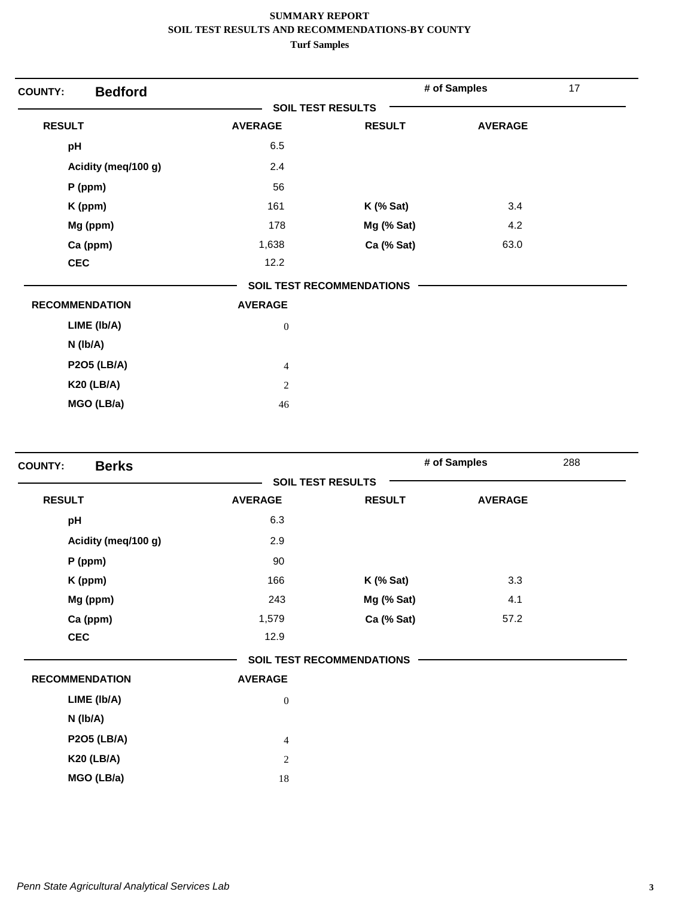| <b>Bedford</b><br><b>COUNTY:</b> |                          |                                  | # of Samples   | 17 |
|----------------------------------|--------------------------|----------------------------------|----------------|----|
|                                  | <b>SOIL TEST RESULTS</b> |                                  |                |    |
| <b>RESULT</b>                    | <b>AVERAGE</b>           | <b>RESULT</b>                    | <b>AVERAGE</b> |    |
| pH                               | 6.5                      |                                  |                |    |
| Acidity (meq/100 g)              | 2.4                      |                                  |                |    |
| $P$ (ppm)                        | 56                       |                                  |                |    |
| K (ppm)                          | 161                      | $K$ (% Sat)                      | 3.4            |    |
| Mg (ppm)                         | 178                      | Mg (% Sat)                       | 4.2            |    |
| Ca (ppm)                         | 1,638                    | Ca (% Sat)                       | 63.0           |    |
| <b>CEC</b>                       | 12.2                     |                                  |                |    |
|                                  |                          | <b>SOIL TEST RECOMMENDATIONS</b> |                |    |
| <b>RECOMMENDATION</b>            | <b>AVERAGE</b>           |                                  |                |    |
| LIME (Ib/A)                      | $\boldsymbol{0}$         |                                  |                |    |
| $N$ (lb/A)                       |                          |                                  |                |    |
| <b>P2O5 (LB/A)</b>               | $\overline{4}$           |                                  |                |    |
| <b>K20 (LB/A)</b>                | $\mathbf{2}$             |                                  |                |    |
| MGO (LB/a)                       | 46                       |                                  |                |    |

| <b>Berks</b><br><b>COUNTY:</b> |                          |                                  | # of Samples   | 288 |
|--------------------------------|--------------------------|----------------------------------|----------------|-----|
|                                | <b>SOIL TEST RESULTS</b> |                                  |                |     |
| <b>RESULT</b>                  | <b>AVERAGE</b>           | <b>RESULT</b>                    | <b>AVERAGE</b> |     |
| pH                             | 6.3                      |                                  |                |     |
| Acidity (meq/100 g)            | 2.9                      |                                  |                |     |
| P (ppm)                        | 90                       |                                  |                |     |
| K (ppm)                        | 166                      | <b>K</b> (% Sat)                 | 3.3            |     |
| Mg (ppm)                       | 243                      | Mg (% Sat)                       | 4.1            |     |
| Ca (ppm)                       | 1,579                    | Ca (% Sat)                       | 57.2           |     |
| <b>CEC</b>                     | 12.9                     |                                  |                |     |
|                                |                          | <b>SOIL TEST RECOMMENDATIONS</b> |                |     |
| <b>RECOMMENDATION</b>          | <b>AVERAGE</b>           |                                  |                |     |
| LIME (Ib/A)                    | $\boldsymbol{0}$         |                                  |                |     |
| N (lb/A)                       |                          |                                  |                |     |
| <b>P2O5 (LB/A)</b>             | $\overline{4}$           |                                  |                |     |
| <b>K20 (LB/A)</b>              | $\sqrt{2}$               |                                  |                |     |
| MGO (LB/a)                     | 18                       |                                  |                |     |
|                                |                          |                                  |                |     |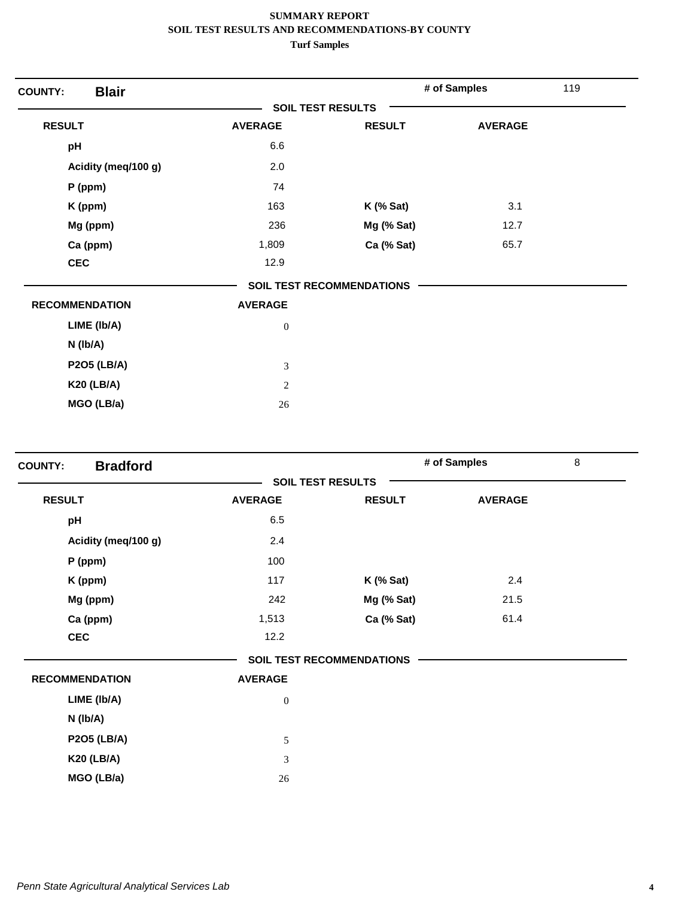| <b>Blair</b><br><b>COUNTY:</b> |                          |                                  | # of Samples   | 119 |
|--------------------------------|--------------------------|----------------------------------|----------------|-----|
|                                | <b>SOIL TEST RESULTS</b> |                                  |                |     |
| <b>RESULT</b>                  | <b>AVERAGE</b>           | <b>RESULT</b>                    | <b>AVERAGE</b> |     |
| pH                             | 6.6                      |                                  |                |     |
| Acidity (meq/100 g)            | 2.0                      |                                  |                |     |
| $P$ (ppm)                      | 74                       |                                  |                |     |
| K (ppm)                        | 163                      | $K$ (% Sat)                      | 3.1            |     |
| Mg (ppm)                       | 236                      | Mg (% Sat)                       | 12.7           |     |
| Ca (ppm)                       | 1,809                    | Ca (% Sat)                       | 65.7           |     |
| <b>CEC</b>                     | 12.9                     |                                  |                |     |
|                                |                          | <b>SOIL TEST RECOMMENDATIONS</b> |                |     |
| <b>RECOMMENDATION</b>          | <b>AVERAGE</b>           |                                  |                |     |
| LIME (Ib/A)                    | $\boldsymbol{0}$         |                                  |                |     |
| $N$ ( $lb/A$ )                 |                          |                                  |                |     |
| <b>P2O5 (LB/A)</b>             | 3                        |                                  |                |     |
| <b>K20 (LB/A)</b>              | $\sqrt{2}$               |                                  |                |     |
| MGO (LB/a)                     | 26                       |                                  |                |     |

| <b>Bradford</b><br><b>COUNTY:</b> |                  |                                  | # of Samples   | $\,8\,$ |
|-----------------------------------|------------------|----------------------------------|----------------|---------|
|                                   |                  | <b>SOIL TEST RESULTS</b>         |                |         |
| <b>RESULT</b>                     | <b>AVERAGE</b>   | <b>RESULT</b>                    | <b>AVERAGE</b> |         |
| pH                                | 6.5              |                                  |                |         |
| Acidity (meq/100 g)               | 2.4              |                                  |                |         |
| P (ppm)                           | 100              |                                  |                |         |
| K (ppm)                           | 117              | $K$ (% Sat)                      | 2.4            |         |
| Mg (ppm)                          | 242              | Mg (% Sat)                       | 21.5           |         |
| Ca (ppm)                          | 1,513            | Ca (% Sat)                       | 61.4           |         |
| <b>CEC</b>                        | 12.2             |                                  |                |         |
|                                   |                  | <b>SOIL TEST RECOMMENDATIONS</b> |                |         |
| <b>RECOMMENDATION</b>             | <b>AVERAGE</b>   |                                  |                |         |
| LIME (Ib/A)                       | $\boldsymbol{0}$ |                                  |                |         |
| $N$ ( $lb/A$ )                    |                  |                                  |                |         |
| <b>P2O5 (LB/A)</b>                | 5                |                                  |                |         |
| <b>K20 (LB/A)</b>                 | $\overline{3}$   |                                  |                |         |
| MGO (LB/a)                        | 26               |                                  |                |         |
|                                   |                  |                                  |                |         |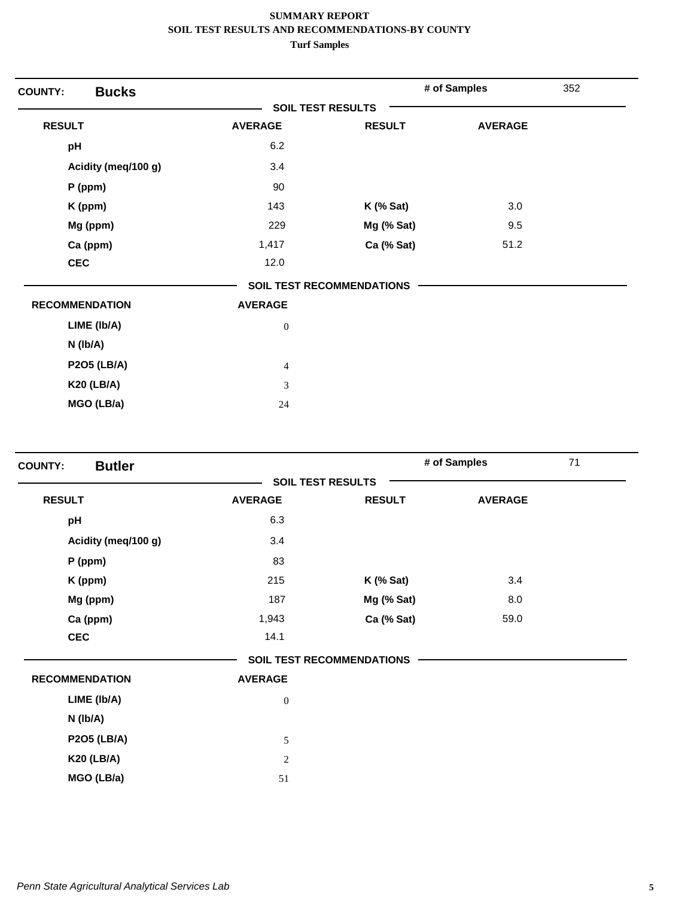| <b>Bucks</b><br><b>COUNTY:</b> |                          |                                  | # of Samples   | 352 |
|--------------------------------|--------------------------|----------------------------------|----------------|-----|
|                                | <b>SOIL TEST RESULTS</b> |                                  |                |     |
| <b>RESULT</b>                  | <b>AVERAGE</b>           | <b>RESULT</b>                    | <b>AVERAGE</b> |     |
| pH                             | 6.2                      |                                  |                |     |
| Acidity (meq/100 g)            | 3.4                      |                                  |                |     |
| $P$ (ppm)                      | 90                       |                                  |                |     |
| K (ppm)                        | 143                      | $K$ (% Sat)                      | 3.0            |     |
| Mg (ppm)                       | 229                      | Mg (% Sat)                       | 9.5            |     |
| Ca (ppm)                       | 1,417                    | Ca (% Sat)                       | 51.2           |     |
| <b>CEC</b>                     | 12.0                     |                                  |                |     |
|                                |                          | <b>SOIL TEST RECOMMENDATIONS</b> |                |     |
| <b>RECOMMENDATION</b>          | <b>AVERAGE</b>           |                                  |                |     |
| LIME (Ib/A)                    | $\boldsymbol{0}$         |                                  |                |     |
| $N$ ( $lb/A$ )                 |                          |                                  |                |     |
| <b>P2O5 (LB/A)</b>             | $\overline{4}$           |                                  |                |     |
| <b>K20 (LB/A)</b>              | 3                        |                                  |                |     |
| MGO (LB/a)                     | 24                       |                                  |                |     |

| <b>Butler</b><br><b>SOIL TEST RESULTS</b><br><b>RESULT</b><br><b>AVERAGE</b><br><b>RESULT</b> | <b>AVERAGE</b> |
|-----------------------------------------------------------------------------------------------|----------------|
|                                                                                               |                |
|                                                                                               |                |
| 6.3<br>pH                                                                                     |                |
| 3.4<br>Acidity (meg/100 g)                                                                    |                |
| 83<br>$P$ (ppm)                                                                               |                |
| 215<br>$K$ (% Sat)<br>K (ppm)                                                                 | 3.4            |
| Mg (ppm)<br>187<br>Mg (% Sat)                                                                 | 8.0            |
| Ca (ppm)<br>1,943<br>Ca (% Sat)                                                               | 59.0           |
| <b>CEC</b><br>14.1                                                                            |                |
| <b>SOIL TEST RECOMMENDATIONS</b>                                                              |                |
| <b>RECOMMENDATION</b><br><b>AVERAGE</b>                                                       |                |
| LIME (Ib/A)<br>$\boldsymbol{0}$                                                               |                |
| N (lb/A)                                                                                      |                |
| <b>P2O5 (LB/A)</b><br>5                                                                       |                |
| <b>K20 (LB/A)</b><br>2                                                                        |                |
| MGO (LB/a)<br>51                                                                              |                |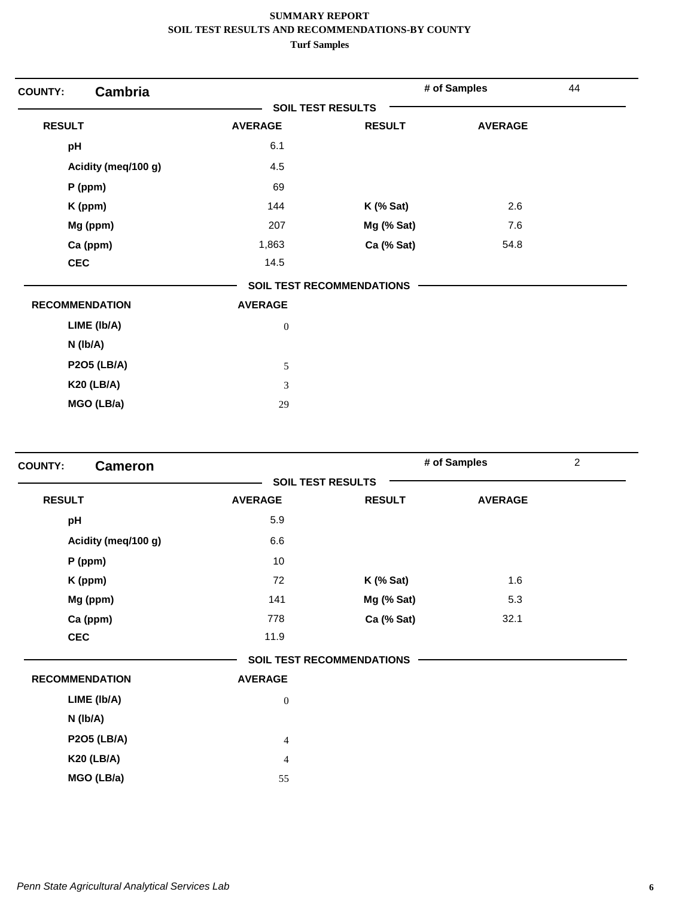| <b>COUNTY:</b>        | <b>Cambria</b>      |                          |                                  | # of Samples   | 44 |
|-----------------------|---------------------|--------------------------|----------------------------------|----------------|----|
|                       |                     | <b>SOIL TEST RESULTS</b> |                                  |                |    |
| <b>RESULT</b>         |                     | <b>AVERAGE</b>           | <b>RESULT</b>                    | <b>AVERAGE</b> |    |
| pH                    |                     | 6.1                      |                                  |                |    |
|                       | Acidity (meq/100 g) | 4.5                      |                                  |                |    |
| $P$ (ppm)             |                     | 69                       |                                  |                |    |
| K (ppm)               |                     | 144                      | $K$ (% Sat)                      | 2.6            |    |
| Mg (ppm)              |                     | 207                      | Mg (% Sat)                       | 7.6            |    |
| Ca (ppm)              |                     | 1,863                    | Ca (% Sat)                       | 54.8           |    |
| <b>CEC</b>            |                     | 14.5                     |                                  |                |    |
|                       |                     |                          | <b>SOIL TEST RECOMMENDATIONS</b> |                |    |
| <b>RECOMMENDATION</b> |                     | <b>AVERAGE</b>           |                                  |                |    |
| LIME (Ib/A)           |                     | $\boldsymbol{0}$         |                                  |                |    |
| N (lb/A)              |                     |                          |                                  |                |    |
| <b>P2O5 (LB/A)</b>    |                     | 5                        |                                  |                |    |
| <b>K20 (LB/A)</b>     |                     | 3                        |                                  |                |    |
| MGO (LB/a)            |                     | 29                       |                                  |                |    |

| <b>COUNTY:</b><br><b>Cameron</b> |                  |                                  | # of Samples   | $\overline{2}$ |
|----------------------------------|------------------|----------------------------------|----------------|----------------|
|                                  |                  | <b>SOIL TEST RESULTS</b>         |                |                |
| <b>RESULT</b>                    | <b>AVERAGE</b>   | <b>RESULT</b>                    | <b>AVERAGE</b> |                |
| pH                               | 5.9              |                                  |                |                |
| Acidity (meq/100 g)              | 6.6              |                                  |                |                |
| P (ppm)                          | 10               |                                  |                |                |
| K (ppm)                          | 72               | $K$ (% Sat)                      | 1.6            |                |
| Mg (ppm)                         | 141              | Mg (% Sat)                       | 5.3            |                |
| Ca (ppm)                         | 778              | Ca (% Sat)                       | 32.1           |                |
| <b>CEC</b>                       | 11.9             |                                  |                |                |
|                                  |                  | <b>SOIL TEST RECOMMENDATIONS</b> |                |                |
| <b>RECOMMENDATION</b>            | <b>AVERAGE</b>   |                                  |                |                |
| LIME (Ib/A)                      | $\boldsymbol{0}$ |                                  |                |                |
| $N$ ( $lb/A$ )                   |                  |                                  |                |                |
| <b>P2O5 (LB/A)</b>               | $\overline{4}$   |                                  |                |                |
| <b>K20 (LB/A)</b>                | $\overline{4}$   |                                  |                |                |
| MGO (LB/a)                       | 55               |                                  |                |                |
|                                  |                  |                                  |                |                |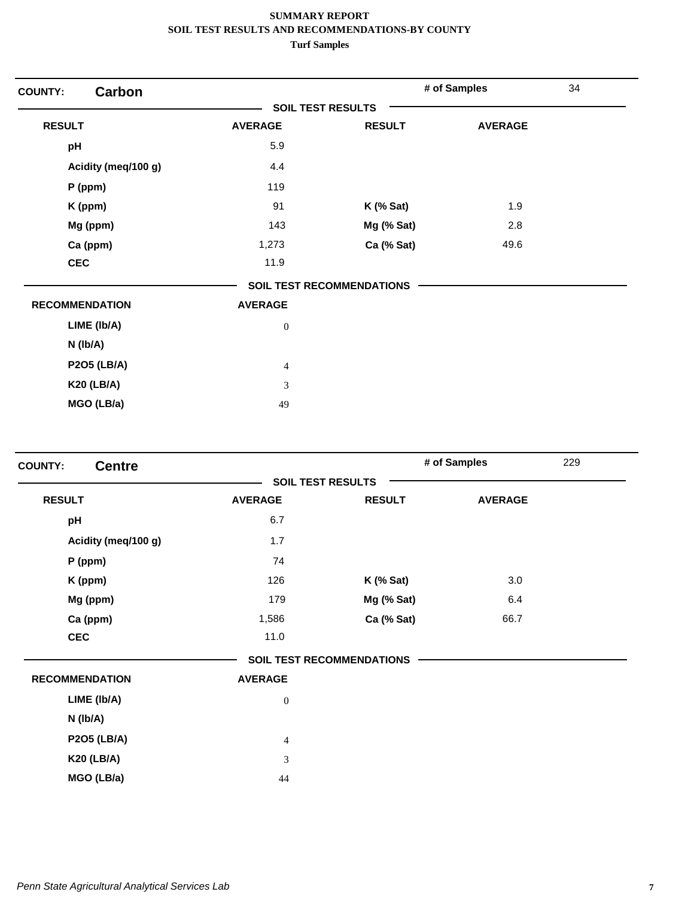| <b>Carbon</b><br><b>COUNTY:</b> |                          |                                  | # of Samples   | 34 |
|---------------------------------|--------------------------|----------------------------------|----------------|----|
|                                 | <b>SOIL TEST RESULTS</b> |                                  |                |    |
| <b>RESULT</b>                   | <b>AVERAGE</b>           | <b>RESULT</b>                    | <b>AVERAGE</b> |    |
| pH                              | 5.9                      |                                  |                |    |
| Acidity (meq/100 g)             | 4.4                      |                                  |                |    |
| $P$ (ppm)                       | 119                      |                                  |                |    |
| K (ppm)                         | 91                       | $K$ (% Sat)                      | 1.9            |    |
| Mg (ppm)                        | 143                      | Mg (% Sat)                       | 2.8            |    |
| Ca (ppm)                        | 1,273                    | Ca (% Sat)                       | 49.6           |    |
| <b>CEC</b>                      | 11.9                     |                                  |                |    |
|                                 |                          | <b>SOIL TEST RECOMMENDATIONS</b> |                |    |
| <b>RECOMMENDATION</b>           | <b>AVERAGE</b>           |                                  |                |    |
| LIME (Ib/A)                     | $\boldsymbol{0}$         |                                  |                |    |
| $N$ ( $lb/A$ )                  |                          |                                  |                |    |
| <b>P2O5 (LB/A)</b>              | $\overline{4}$           |                                  |                |    |
| <b>K20 (LB/A)</b>               | 3                        |                                  |                |    |
| MGO (LB/a)                      | 49                       |                                  |                |    |

| <b>Centre</b><br><b>COUNTY:</b> |                          |                                  | # of Samples   | 229 |
|---------------------------------|--------------------------|----------------------------------|----------------|-----|
|                                 | <b>SOIL TEST RESULTS</b> |                                  |                |     |
| <b>RESULT</b>                   | <b>AVERAGE</b>           | <b>RESULT</b>                    | <b>AVERAGE</b> |     |
| pH                              | 6.7                      |                                  |                |     |
| Acidity (meq/100 g)             | 1.7                      |                                  |                |     |
| P (ppm)                         | 74                       |                                  |                |     |
| K (ppm)                         | 126                      | $K$ (% Sat)                      | 3.0            |     |
| Mg (ppm)                        | 179                      | Mg (% Sat)                       | 6.4            |     |
| Ca (ppm)                        | 1,586                    | Ca (% Sat)                       | 66.7           |     |
| <b>CEC</b>                      | 11.0                     |                                  |                |     |
|                                 |                          | <b>SOIL TEST RECOMMENDATIONS</b> |                |     |
| <b>RECOMMENDATION</b>           | <b>AVERAGE</b>           |                                  |                |     |
| LIME (Ib/A)                     | $\boldsymbol{0}$         |                                  |                |     |
| N (lb/A)                        |                          |                                  |                |     |
| <b>P2O5 (LB/A)</b>              | $\overline{4}$           |                                  |                |     |
| <b>K20 (LB/A)</b>               | 3                        |                                  |                |     |
| MGO (LB/a)                      | 44                       |                                  |                |     |
|                                 |                          |                                  |                |     |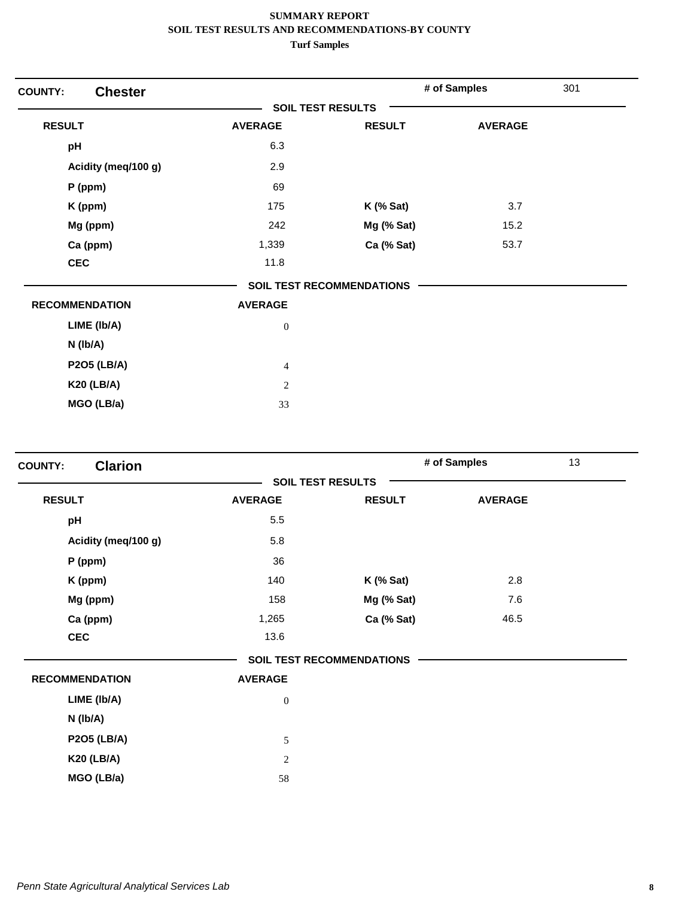| <b>Chester</b><br><b>COUNTY:</b> |                          |                                  | # of Samples   | 301 |
|----------------------------------|--------------------------|----------------------------------|----------------|-----|
|                                  | <b>SOIL TEST RESULTS</b> |                                  |                |     |
| <b>RESULT</b>                    | <b>AVERAGE</b>           | <b>RESULT</b>                    | <b>AVERAGE</b> |     |
| pH                               | 6.3                      |                                  |                |     |
| Acidity (meq/100 g)              | 2.9                      |                                  |                |     |
| P (ppm)                          | 69                       |                                  |                |     |
| K (ppm)                          | 175                      | $K$ (% Sat)                      | 3.7            |     |
| Mg (ppm)                         | 242                      | Mg (% Sat)                       | 15.2           |     |
| Ca (ppm)                         | 1,339                    | Ca (% Sat)                       | 53.7           |     |
| <b>CEC</b>                       | 11.8                     |                                  |                |     |
|                                  |                          | <b>SOIL TEST RECOMMENDATIONS</b> |                |     |
| <b>RECOMMENDATION</b>            | <b>AVERAGE</b>           |                                  |                |     |
| LIME (Ib/A)                      | $\boldsymbol{0}$         |                                  |                |     |
| $N$ (lb/A)                       |                          |                                  |                |     |
| <b>P2O5 (LB/A)</b>               | $\overline{4}$           |                                  |                |     |
| <b>K20 (LB/A)</b>                | $\mathbf{2}$             |                                  |                |     |
| MGO (LB/a)                       | 33                       |                                  |                |     |

| <b>Clarion</b><br><b>COUNTY:</b> |                  |                                  | # of Samples   | 13 |
|----------------------------------|------------------|----------------------------------|----------------|----|
|                                  |                  | <b>SOIL TEST RESULTS</b>         |                |    |
| <b>RESULT</b>                    | <b>AVERAGE</b>   | <b>RESULT</b>                    | <b>AVERAGE</b> |    |
| pH                               | 5.5              |                                  |                |    |
| Acidity (meq/100 g)              | 5.8              |                                  |                |    |
| $P$ (ppm)                        | 36               |                                  |                |    |
| K (ppm)                          | 140              | $K$ (% Sat)                      | 2.8            |    |
| Mg (ppm)                         | 158              | Mg (% Sat)                       | 7.6            |    |
| Ca (ppm)                         | 1,265            | Ca (% Sat)                       | 46.5           |    |
| <b>CEC</b>                       | 13.6             |                                  |                |    |
|                                  |                  | <b>SOIL TEST RECOMMENDATIONS</b> |                |    |
| <b>RECOMMENDATION</b>            | <b>AVERAGE</b>   |                                  |                |    |
| LIME (Ib/A)                      | $\boldsymbol{0}$ |                                  |                |    |
| $N$ ( $lb/A$ )                   |                  |                                  |                |    |
| <b>P2O5 (LB/A)</b>               | 5                |                                  |                |    |
| <b>K20 (LB/A)</b>                | $\sqrt{2}$       |                                  |                |    |
| MGO (LB/a)                       | 58               |                                  |                |    |
|                                  |                  |                                  |                |    |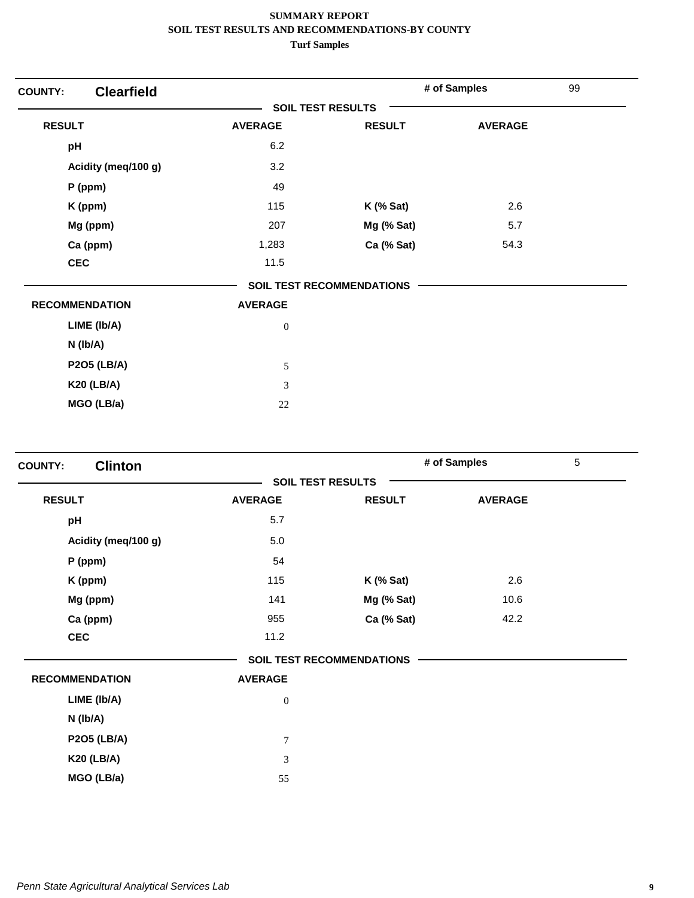| <b>COUNTY:</b>        | <b>Clearfield</b>   |                          |                                  | # of Samples   | 99 |
|-----------------------|---------------------|--------------------------|----------------------------------|----------------|----|
|                       |                     | <b>SOIL TEST RESULTS</b> |                                  |                |    |
| <b>RESULT</b>         |                     | <b>AVERAGE</b>           | <b>RESULT</b>                    | <b>AVERAGE</b> |    |
| pH                    |                     | 6.2                      |                                  |                |    |
|                       | Acidity (meq/100 g) | 3.2                      |                                  |                |    |
|                       | $P$ (ppm)           | 49                       |                                  |                |    |
|                       | K (ppm)             | 115                      | $K$ (% Sat)                      | 2.6            |    |
|                       | Mg (ppm)            | 207                      | Mg (% Sat)                       | 5.7            |    |
|                       | Ca (ppm)            | 1,283                    | Ca (% Sat)                       | 54.3           |    |
| <b>CEC</b>            |                     | 11.5                     |                                  |                |    |
|                       |                     |                          | <b>SOIL TEST RECOMMENDATIONS</b> |                |    |
| <b>RECOMMENDATION</b> |                     | <b>AVERAGE</b>           |                                  |                |    |
|                       | LIME (Ib/A)         | $\boldsymbol{0}$         |                                  |                |    |
|                       | $N$ (lb/A)          |                          |                                  |                |    |
|                       | <b>P2O5 (LB/A)</b>  | $\sqrt{5}$               |                                  |                |    |
|                       | <b>K20 (LB/A)</b>   | 3                        |                                  |                |    |
|                       | MGO (LB/a)          | 22                       |                                  |                |    |

| <b>Clinton</b><br><b>COUNTY:</b> |                  |                                  | # of Samples   | $\overline{5}$ |
|----------------------------------|------------------|----------------------------------|----------------|----------------|
|                                  |                  | <b>SOIL TEST RESULTS</b>         |                |                |
| <b>RESULT</b>                    | <b>AVERAGE</b>   | <b>RESULT</b>                    | <b>AVERAGE</b> |                |
| pH                               | 5.7              |                                  |                |                |
| Acidity (meq/100 g)              | 5.0              |                                  |                |                |
| P (ppm)                          | 54               |                                  |                |                |
| K (ppm)                          | 115              | $K$ (% Sat)                      | 2.6            |                |
| Mg (ppm)                         | 141              | Mg (% Sat)                       | 10.6           |                |
| Ca (ppm)                         | 955              | Ca (% Sat)                       | 42.2           |                |
| <b>CEC</b>                       | 11.2             |                                  |                |                |
|                                  |                  | <b>SOIL TEST RECOMMENDATIONS</b> |                |                |
| <b>RECOMMENDATION</b>            | <b>AVERAGE</b>   |                                  |                |                |
| LIME (Ib/A)                      | $\boldsymbol{0}$ |                                  |                |                |
| $N$ ( $lb/A$ )                   |                  |                                  |                |                |
| <b>P2O5 (LB/A)</b>               | $\overline{7}$   |                                  |                |                |
| <b>K20 (LB/A)</b>                | 3                |                                  |                |                |
| MGO (LB/a)                       | 55               |                                  |                |                |
|                                  |                  |                                  |                |                |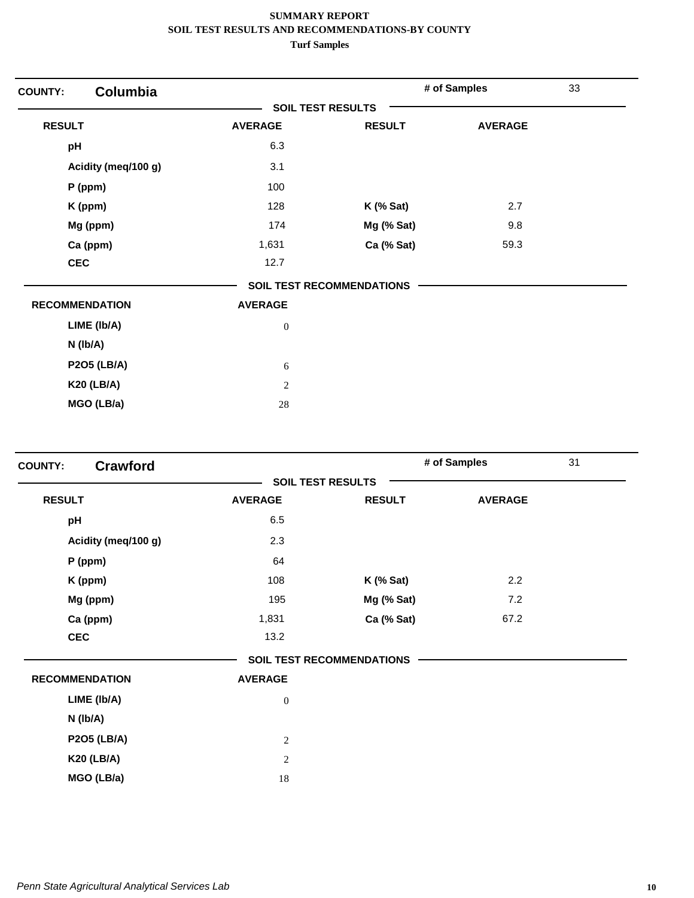| <b>COUNTY:</b> | Columbia              |                          |                                  | # of Samples   | 33 |
|----------------|-----------------------|--------------------------|----------------------------------|----------------|----|
|                |                       | <b>SOIL TEST RESULTS</b> |                                  |                |    |
| <b>RESULT</b>  |                       | <b>AVERAGE</b>           | <b>RESULT</b>                    | <b>AVERAGE</b> |    |
| pH             |                       | 6.3                      |                                  |                |    |
|                | Acidity (meq/100 g)   | 3.1                      |                                  |                |    |
|                | $P$ (ppm)             | 100                      |                                  |                |    |
|                | K (ppm)               | 128                      | $K$ (% Sat)                      | 2.7            |    |
|                | Mg (ppm)              | 174                      | Mg (% Sat)                       | 9.8            |    |
|                | Ca (ppm)              | 1,631                    | Ca (% Sat)                       | 59.3           |    |
| <b>CEC</b>     |                       | 12.7                     |                                  |                |    |
|                |                       |                          | <b>SOIL TEST RECOMMENDATIONS</b> |                |    |
|                | <b>RECOMMENDATION</b> | <b>AVERAGE</b>           |                                  |                |    |
|                | LIME (Ib/A)           | $\boldsymbol{0}$         |                                  |                |    |
|                | N (Ib/A)              |                          |                                  |                |    |
|                | <b>P2O5 (LB/A)</b>    | 6                        |                                  |                |    |
|                | <b>K20 (LB/A)</b>     | $\sqrt{2}$               |                                  |                |    |
|                | MGO (LB/a)            | $28\,$                   |                                  |                |    |

| <b>Crawford</b><br><b>COUNTY:</b> |                  |                                  | # of Samples   | 31 |
|-----------------------------------|------------------|----------------------------------|----------------|----|
|                                   |                  | <b>SOIL TEST RESULTS</b>         |                |    |
| <b>RESULT</b>                     | <b>AVERAGE</b>   | <b>RESULT</b>                    | <b>AVERAGE</b> |    |
| pH                                | 6.5              |                                  |                |    |
| Acidity (meq/100 g)               | 2.3              |                                  |                |    |
| $P$ (ppm)                         | 64               |                                  |                |    |
| K (ppm)                           | 108              | $K$ (% Sat)                      | 2.2            |    |
| Mg (ppm)                          | 195              | Mg (% Sat)                       | 7.2            |    |
| Ca (ppm)                          | 1,831            | Ca (% Sat)                       | 67.2           |    |
| <b>CEC</b>                        | 13.2             |                                  |                |    |
|                                   |                  | <b>SOIL TEST RECOMMENDATIONS</b> |                |    |
| <b>RECOMMENDATION</b>             | <b>AVERAGE</b>   |                                  |                |    |
| LIME (Ib/A)                       | $\boldsymbol{0}$ |                                  |                |    |
| $N$ ( $lb/A$ )                    |                  |                                  |                |    |
| <b>P2O5 (LB/A)</b>                | $\overline{2}$   |                                  |                |    |
| <b>K20 (LB/A)</b>                 | $\sqrt{2}$       |                                  |                |    |
| MGO (LB/a)                        | 18               |                                  |                |    |
|                                   |                  |                                  |                |    |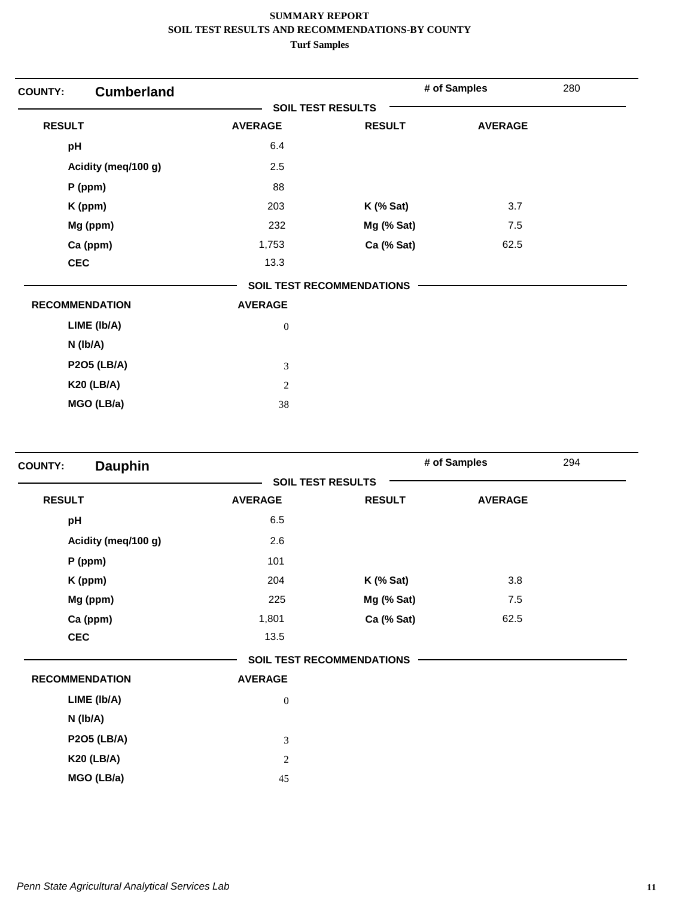| <b>COUNTY:</b> | <b>Cumberland</b>     |                          |                                  | # of Samples   | 280 |
|----------------|-----------------------|--------------------------|----------------------------------|----------------|-----|
|                |                       | <b>SOIL TEST RESULTS</b> |                                  |                |     |
| <b>RESULT</b>  |                       | <b>AVERAGE</b>           | <b>RESULT</b>                    | <b>AVERAGE</b> |     |
| pH             |                       | 6.4                      |                                  |                |     |
|                | Acidity (meq/100 g)   | 2.5                      |                                  |                |     |
|                | $P$ (ppm)             | 88                       |                                  |                |     |
|                | K (ppm)               | 203                      | $K$ (% Sat)                      | 3.7            |     |
|                | Mg (ppm)              | 232                      | Mg (% Sat)                       | 7.5            |     |
|                | Ca (ppm)              | 1,753                    | Ca (% Sat)                       | 62.5           |     |
|                | <b>CEC</b>            | 13.3                     |                                  |                |     |
|                |                       |                          | <b>SOIL TEST RECOMMENDATIONS</b> |                |     |
|                | <b>RECOMMENDATION</b> | <b>AVERAGE</b>           |                                  |                |     |
|                | LIME (Ib/A)           | $\boldsymbol{0}$         |                                  |                |     |
|                | $N$ ( $lb/A$ )        |                          |                                  |                |     |
|                | <b>P2O5 (LB/A)</b>    | 3                        |                                  |                |     |
|                | <b>K20 (LB/A)</b>     | $\overline{2}$           |                                  |                |     |
|                | MGO (LB/a)            | 38                       |                                  |                |     |

| <b>Dauphin</b><br><b>SOIL TEST RESULTS</b><br><b>RESULT</b><br><b>AVERAGE</b><br><b>RESULT</b><br>6.5<br>pH<br>2.6<br>Acidity (meq/100 g)<br>101<br>$P$ (ppm)<br>204<br>$K$ (% Sat)<br>K (ppm) | <b>AVERAGE</b> |
|------------------------------------------------------------------------------------------------------------------------------------------------------------------------------------------------|----------------|
|                                                                                                                                                                                                |                |
|                                                                                                                                                                                                |                |
|                                                                                                                                                                                                |                |
|                                                                                                                                                                                                |                |
|                                                                                                                                                                                                |                |
|                                                                                                                                                                                                | 3.8            |
| Mg (ppm)<br>225<br>Mg (% Sat)                                                                                                                                                                  | 7.5            |
| Ca (ppm)<br>1,801<br>Ca (% Sat)                                                                                                                                                                | 62.5           |
| <b>CEC</b><br>13.5                                                                                                                                                                             |                |
| <b>SOIL TEST RECOMMENDATIONS</b>                                                                                                                                                               |                |
| <b>RECOMMENDATION</b><br><b>AVERAGE</b>                                                                                                                                                        |                |
| LIME (Ib/A)<br>$\boldsymbol{0}$                                                                                                                                                                |                |
| $N$ ( $lb/A$ )                                                                                                                                                                                 |                |
| <b>P2O5 (LB/A)</b><br>$\mathfrak{Z}$                                                                                                                                                           |                |
| <b>K20 (LB/A)</b><br>$\sqrt{2}$                                                                                                                                                                |                |
| MGO (LB/a)<br>45                                                                                                                                                                               |                |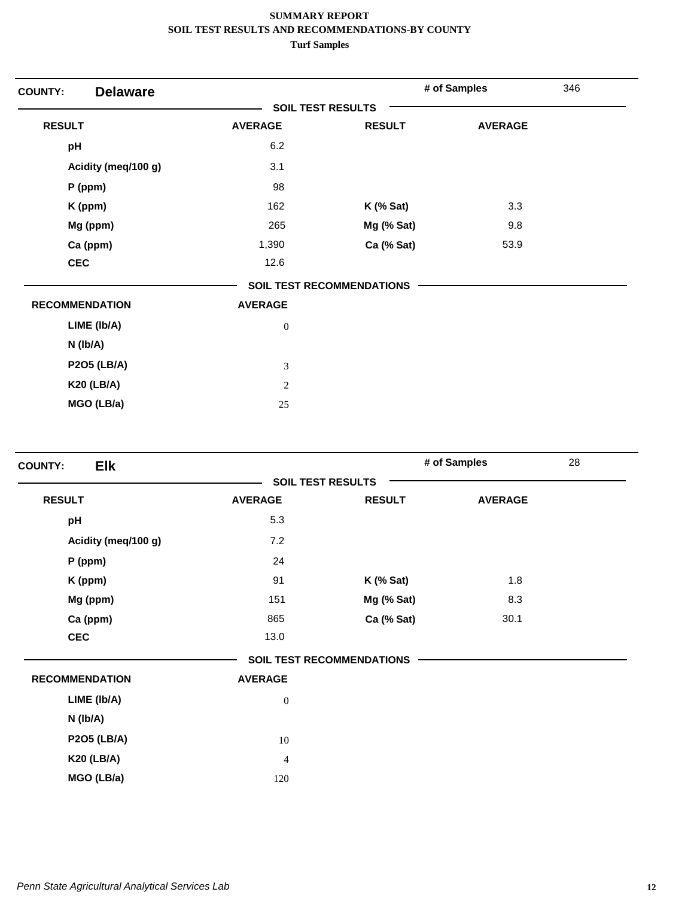| <b>Delaware</b><br><b>COUNTY:</b> |                          |                                  | # of Samples   | 346 |
|-----------------------------------|--------------------------|----------------------------------|----------------|-----|
|                                   | <b>SOIL TEST RESULTS</b> |                                  |                |     |
| <b>RESULT</b>                     | <b>AVERAGE</b>           | <b>RESULT</b>                    | <b>AVERAGE</b> |     |
| pH                                | 6.2                      |                                  |                |     |
| Acidity (meq/100 g)               | 3.1                      |                                  |                |     |
| P (ppm)                           | 98                       |                                  |                |     |
| K (ppm)                           | 162                      | $K$ (% Sat)                      | 3.3            |     |
| Mg (ppm)                          | 265                      | Mg (% Sat)                       | 9.8            |     |
| Ca (ppm)                          | 1,390                    | Ca (% Sat)                       | 53.9           |     |
| <b>CEC</b>                        | 12.6                     |                                  |                |     |
|                                   |                          | <b>SOIL TEST RECOMMENDATIONS</b> |                |     |
| <b>RECOMMENDATION</b>             | <b>AVERAGE</b>           |                                  |                |     |
| LIME (Ib/A)                       | $\boldsymbol{0}$         |                                  |                |     |
| $N$ (lb/A)                        |                          |                                  |                |     |
| <b>P2O5 (LB/A)</b>                | $\mathfrak{Z}$           |                                  |                |     |
| <b>K20 (LB/A)</b>                 | 2                        |                                  |                |     |
| MGO (LB/a)                        | 25                       |                                  |                |     |

| <b>Elk</b><br><b>COUNTY:</b> |                          |                                  | # of Samples   | 28 |
|------------------------------|--------------------------|----------------------------------|----------------|----|
|                              | <b>SOIL TEST RESULTS</b> |                                  |                |    |
| <b>RESULT</b>                | <b>AVERAGE</b>           | <b>RESULT</b>                    | <b>AVERAGE</b> |    |
| pH                           | 5.3                      |                                  |                |    |
| Acidity (meq/100 g)          | 7.2                      |                                  |                |    |
| $P$ (ppm)                    | 24                       |                                  |                |    |
| K (ppm)                      | 91                       | $K$ (% Sat)                      | 1.8            |    |
| Mg (ppm)                     | 151                      | Mg (% Sat)                       | 8.3            |    |
| Ca (ppm)                     | 865                      | Ca (% Sat)                       | 30.1           |    |
| <b>CEC</b>                   | 13.0                     |                                  |                |    |
|                              |                          | <b>SOIL TEST RECOMMENDATIONS</b> |                |    |
| <b>RECOMMENDATION</b>        | <b>AVERAGE</b>           |                                  |                |    |
| LIME (Ib/A)                  | $\boldsymbol{0}$         |                                  |                |    |
| N (lb/A)                     |                          |                                  |                |    |
| <b>P2O5 (LB/A)</b>           | 10                       |                                  |                |    |
| <b>K20 (LB/A)</b>            | 4                        |                                  |                |    |
| MGO (LB/a)                   | 120                      |                                  |                |    |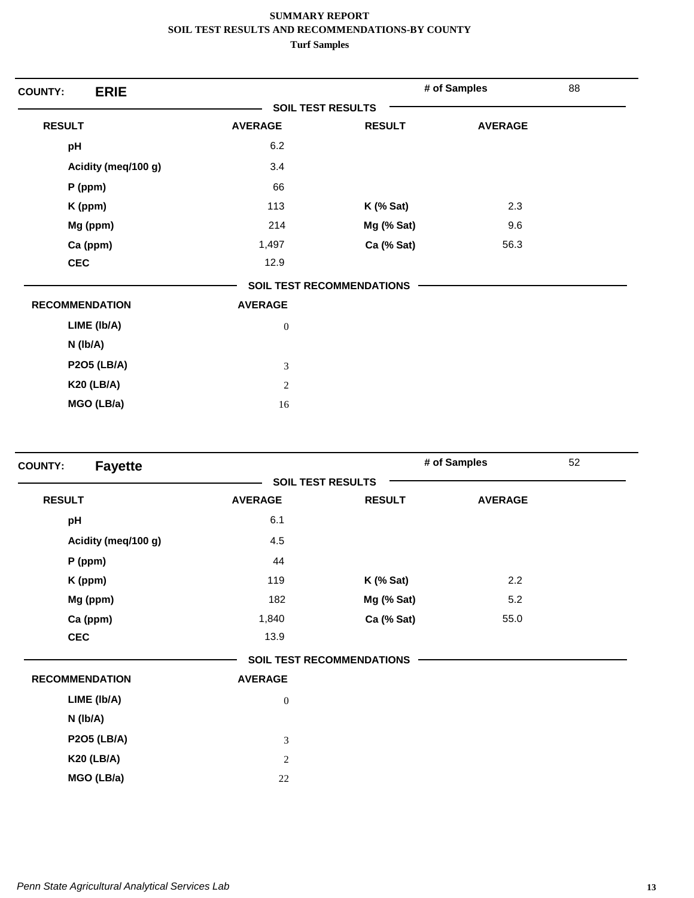| <b>ERIE</b><br><b>COUNTY:</b> |                          |                                  | # of Samples   | 88 |
|-------------------------------|--------------------------|----------------------------------|----------------|----|
|                               | <b>SOIL TEST RESULTS</b> |                                  |                |    |
| <b>RESULT</b>                 | <b>AVERAGE</b>           | <b>RESULT</b>                    | <b>AVERAGE</b> |    |
| pH                            | 6.2                      |                                  |                |    |
| Acidity (meq/100 g)           | 3.4                      |                                  |                |    |
| $P$ (ppm)                     | 66                       |                                  |                |    |
| K (ppm)                       | 113                      | $K$ (% Sat)                      | 2.3            |    |
| Mg (ppm)                      | 214                      | Mg (% Sat)                       | 9.6            |    |
| Ca (ppm)                      | 1,497                    | Ca (% Sat)                       | 56.3           |    |
| <b>CEC</b>                    | 12.9                     |                                  |                |    |
|                               |                          | <b>SOIL TEST RECOMMENDATIONS</b> |                |    |
| <b>RECOMMENDATION</b>         | <b>AVERAGE</b>           |                                  |                |    |
| LIME (Ib/A)                   | $\boldsymbol{0}$         |                                  |                |    |
| $N$ (lb/A)                    |                          |                                  |                |    |
| <b>P2O5 (LB/A)</b>            | 3                        |                                  |                |    |
| <b>K20 (LB/A)</b>             | $\mathbf{2}$             |                                  |                |    |
| MGO (LB/a)                    | 16                       |                                  |                |    |

| <b>Fayette</b><br><b>COUNTY:</b> |                  |                                  | # of Samples   | 52 |
|----------------------------------|------------------|----------------------------------|----------------|----|
|                                  |                  | <b>SOIL TEST RESULTS</b>         |                |    |
| <b>RESULT</b>                    | <b>AVERAGE</b>   | <b>RESULT</b>                    | <b>AVERAGE</b> |    |
| pH                               | 6.1              |                                  |                |    |
| Acidity (meq/100 g)              | 4.5              |                                  |                |    |
| P (ppm)                          | 44               |                                  |                |    |
| K (ppm)                          | 119              | $K$ (% Sat)                      | 2.2            |    |
| Mg (ppm)                         | 182              | Mg (% Sat)                       | 5.2            |    |
| Ca (ppm)                         | 1,840            | Ca (% Sat)                       | 55.0           |    |
| <b>CEC</b>                       | 13.9             |                                  |                |    |
|                                  |                  | <b>SOIL TEST RECOMMENDATIONS</b> |                |    |
| <b>RECOMMENDATION</b>            | <b>AVERAGE</b>   |                                  |                |    |
| LIME (Ib/A)                      | $\boldsymbol{0}$ |                                  |                |    |
| N (Ib/A)                         |                  |                                  |                |    |
| <b>P2O5 (LB/A)</b>               | 3                |                                  |                |    |
| <b>K20 (LB/A)</b>                | $\overline{c}$   |                                  |                |    |
| MGO (LB/a)                       | 22               |                                  |                |    |
|                                  |                  |                                  |                |    |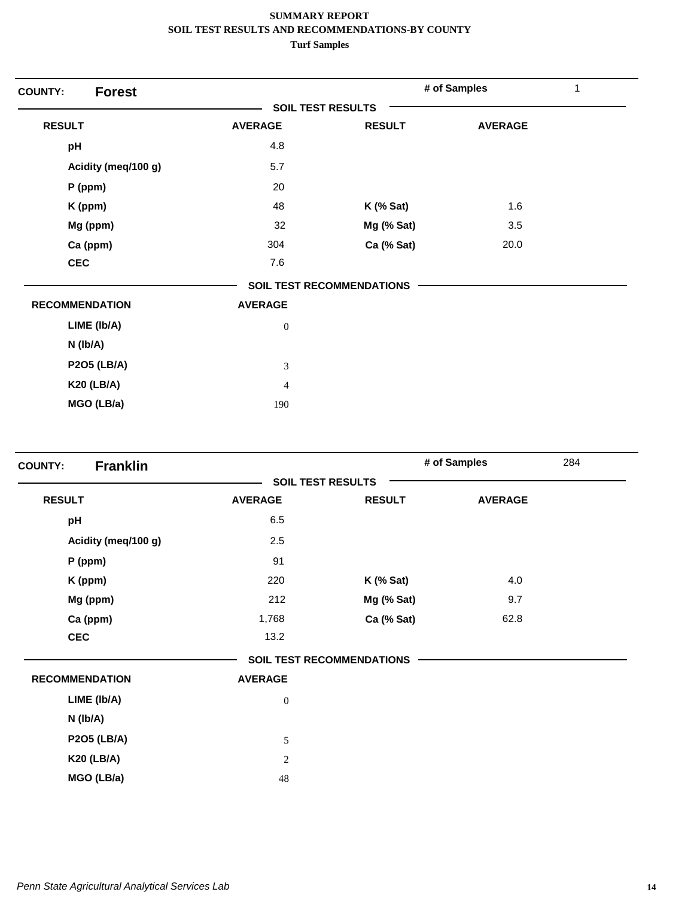| <b>Forest</b><br><b>COUNTY:</b> |                          |                                  | # of Samples   | 1 |
|---------------------------------|--------------------------|----------------------------------|----------------|---|
|                                 | <b>SOIL TEST RESULTS</b> |                                  |                |   |
| <b>RESULT</b>                   | <b>AVERAGE</b>           | <b>RESULT</b>                    | <b>AVERAGE</b> |   |
| pH                              | 4.8                      |                                  |                |   |
| Acidity (meq/100 g)             | 5.7                      |                                  |                |   |
| $P$ (ppm)                       | 20                       |                                  |                |   |
| K (ppm)                         | 48                       | $K$ (% Sat)                      | 1.6            |   |
| Mg (ppm)                        | 32                       | Mg (% Sat)                       | 3.5            |   |
| Ca (ppm)                        | 304                      | Ca (% Sat)                       | 20.0           |   |
| <b>CEC</b>                      | 7.6                      |                                  |                |   |
|                                 |                          | <b>SOIL TEST RECOMMENDATIONS</b> |                |   |
| <b>RECOMMENDATION</b>           | <b>AVERAGE</b>           |                                  |                |   |
| LIME (Ib/A)                     | $\boldsymbol{0}$         |                                  |                |   |
| $N$ ( $lb/A$ )                  |                          |                                  |                |   |
| <b>P2O5 (LB/A)</b>              | 3                        |                                  |                |   |
| <b>K20 (LB/A)</b>               | $\overline{4}$           |                                  |                |   |
| MGO (LB/a)                      | 190                      |                                  |                |   |

| <b>Franklin</b><br><b>COUNTY:</b> |                  |                                  | # of Samples   | 284 |
|-----------------------------------|------------------|----------------------------------|----------------|-----|
|                                   |                  | <b>SOIL TEST RESULTS</b>         |                |     |
| <b>RESULT</b>                     | <b>AVERAGE</b>   | <b>RESULT</b>                    | <b>AVERAGE</b> |     |
| pH                                | 6.5              |                                  |                |     |
| Acidity (meq/100 g)               | 2.5              |                                  |                |     |
| P (ppm)                           | 91               |                                  |                |     |
| K (ppm)                           | 220              | $K$ (% Sat)                      | 4.0            |     |
| Mg (ppm)                          | 212              | Mg (% Sat)                       | 9.7            |     |
| Ca (ppm)                          | 1,768            | Ca (% Sat)                       | 62.8           |     |
| <b>CEC</b>                        | 13.2             |                                  |                |     |
|                                   |                  | <b>SOIL TEST RECOMMENDATIONS</b> |                |     |
| <b>RECOMMENDATION</b>             | <b>AVERAGE</b>   |                                  |                |     |
| LIME (Ib/A)                       | $\boldsymbol{0}$ |                                  |                |     |
| $N$ ( $lb/A$ )                    |                  |                                  |                |     |
| <b>P2O5 (LB/A)</b>                | 5                |                                  |                |     |
| <b>K20 (LB/A)</b>                 | $\overline{c}$   |                                  |                |     |
| MGO (LB/a)                        | 48               |                                  |                |     |
|                                   |                  |                                  |                |     |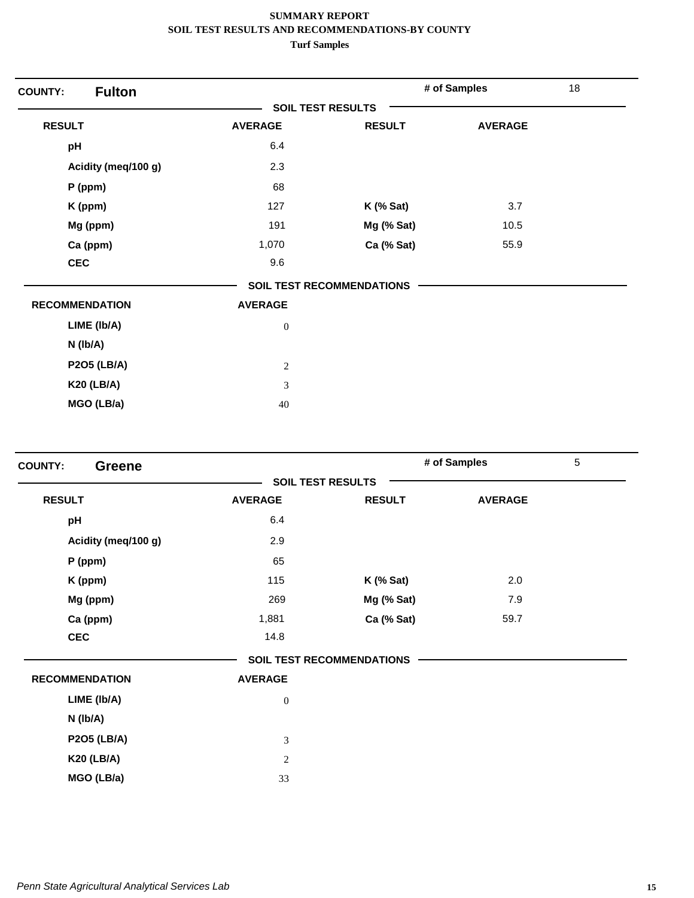| <b>Fulton</b><br><b>COUNTY:</b> |                          |                           | # of Samples   | 18 |
|---------------------------------|--------------------------|---------------------------|----------------|----|
|                                 | <b>SOIL TEST RESULTS</b> |                           |                |    |
| <b>RESULT</b>                   | <b>AVERAGE</b>           | <b>RESULT</b>             | <b>AVERAGE</b> |    |
| pH                              | 6.4                      |                           |                |    |
| Acidity (meq/100 g)             | 2.3                      |                           |                |    |
| $P$ (ppm)                       | 68                       |                           |                |    |
| K (ppm)                         | 127                      | $K$ (% Sat)               | 3.7            |    |
| Mg (ppm)                        | 191                      | Mg (% Sat)                | 10.5           |    |
| Ca (ppm)                        | 1,070                    | Ca (% Sat)                | 55.9           |    |
| <b>CEC</b>                      | 9.6                      |                           |                |    |
|                                 |                          | SOIL TEST RECOMMENDATIONS |                |    |
| <b>RECOMMENDATION</b>           | <b>AVERAGE</b>           |                           |                |    |
| LIME (Ib/A)                     | $\boldsymbol{0}$         |                           |                |    |
| $N$ (lb/A)                      |                          |                           |                |    |
| <b>P2O5 (LB/A)</b>              | $\overline{c}$           |                           |                |    |
| <b>K20 (LB/A)</b>               | 3                        |                           |                |    |
| MGO (LB/a)                      | 40                       |                           |                |    |

| <b>COUNTY:</b><br><b>Greene</b> |                  |                                  | # of Samples   | $\overline{5}$ |
|---------------------------------|------------------|----------------------------------|----------------|----------------|
|                                 |                  | <b>SOIL TEST RESULTS</b>         |                |                |
| <b>RESULT</b>                   | <b>AVERAGE</b>   | <b>RESULT</b>                    | <b>AVERAGE</b> |                |
| pH                              | 6.4              |                                  |                |                |
| Acidity (meg/100 g)             | 2.9              |                                  |                |                |
| P (ppm)                         | 65               |                                  |                |                |
| K (ppm)                         | 115              | $K$ (% Sat)                      | 2.0            |                |
| Mg (ppm)                        | 269              | Mg (% Sat)                       | 7.9            |                |
| Ca (ppm)                        | 1,881            | Ca (% Sat)                       | 59.7           |                |
| <b>CEC</b>                      | 14.8             |                                  |                |                |
|                                 |                  | <b>SOIL TEST RECOMMENDATIONS</b> |                |                |
| <b>RECOMMENDATION</b>           | <b>AVERAGE</b>   |                                  |                |                |
| LIME (Ib/A)                     | $\boldsymbol{0}$ |                                  |                |                |
| $N$ ( $lb/A$ )                  |                  |                                  |                |                |
| <b>P2O5 (LB/A)</b>              | $\mathfrak{Z}$   |                                  |                |                |
| <b>K20 (LB/A)</b>               | 2                |                                  |                |                |
| MGO (LB/a)                      | 33               |                                  |                |                |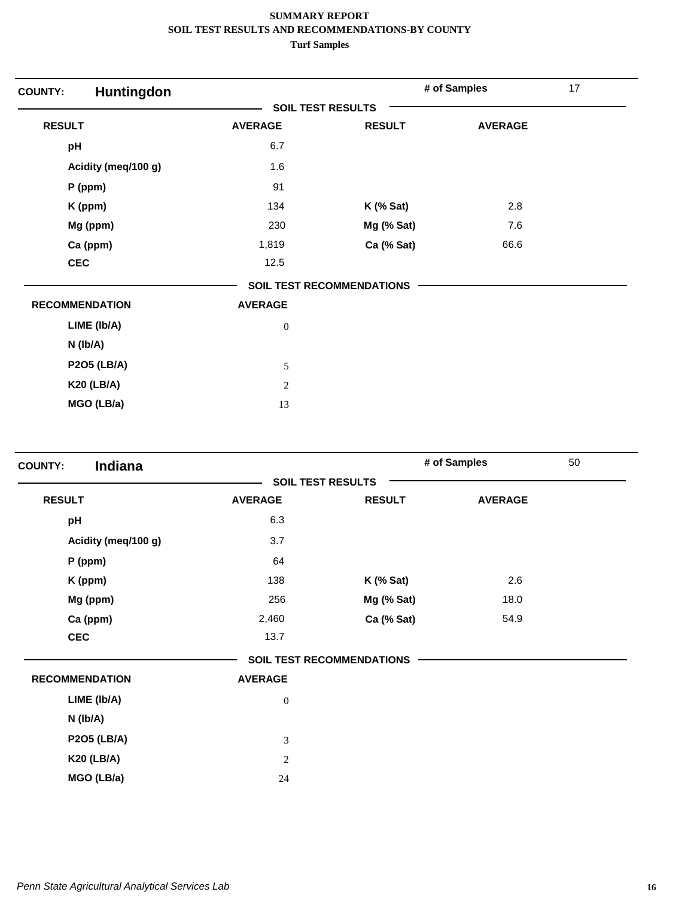| Huntingdon<br><b>COUNTY:</b> |                          |                                  | # of Samples   | 17 |
|------------------------------|--------------------------|----------------------------------|----------------|----|
|                              | <b>SOIL TEST RESULTS</b> |                                  |                |    |
| <b>RESULT</b>                | <b>AVERAGE</b>           | <b>RESULT</b>                    | <b>AVERAGE</b> |    |
| pH                           | 6.7                      |                                  |                |    |
| Acidity (meq/100 g)          | 1.6                      |                                  |                |    |
| P (ppm)                      | 91                       |                                  |                |    |
| K (ppm)                      | 134                      | $K$ (% Sat)                      | 2.8            |    |
| Mg (ppm)                     | 230                      | Mg (% Sat)                       | 7.6            |    |
| Ca (ppm)                     | 1,819                    | Ca (% Sat)                       | 66.6           |    |
| <b>CEC</b>                   | 12.5                     |                                  |                |    |
|                              |                          | <b>SOIL TEST RECOMMENDATIONS</b> |                |    |
| <b>RECOMMENDATION</b>        | <b>AVERAGE</b>           |                                  |                |    |
| LIME (Ib/A)                  | $\boldsymbol{0}$         |                                  |                |    |
| $N$ (lb/A)                   |                          |                                  |                |    |
| <b>P2O5 (LB/A)</b>           | 5                        |                                  |                |    |
| <b>K20 (LB/A)</b>            | $\overline{2}$           |                                  |                |    |
| MGO (LB/a)                   | 13                       |                                  |                |    |

| Indiana<br><b>COUNTY:</b> |                          |                                  | # of Samples   | 50 |
|---------------------------|--------------------------|----------------------------------|----------------|----|
|                           | <b>SOIL TEST RESULTS</b> |                                  |                |    |
| <b>RESULT</b>             | <b>AVERAGE</b>           | <b>RESULT</b>                    | <b>AVERAGE</b> |    |
| pH                        | 6.3                      |                                  |                |    |
| Acidity (meq/100 g)       | 3.7                      |                                  |                |    |
| P (ppm)                   | 64                       |                                  |                |    |
| K (ppm)                   | 138                      | <b>K</b> (% Sat)                 | 2.6            |    |
| Mg (ppm)                  | 256                      | Mg (% Sat)                       | 18.0           |    |
| Ca (ppm)                  | 2,460                    | Ca (% Sat)                       | 54.9           |    |
| <b>CEC</b>                | 13.7                     |                                  |                |    |
|                           |                          | <b>SOIL TEST RECOMMENDATIONS</b> |                |    |
| <b>RECOMMENDATION</b>     | <b>AVERAGE</b>           |                                  |                |    |
| LIME (Ib/A)               | $\boldsymbol{0}$         |                                  |                |    |
| N (lb/A)                  |                          |                                  |                |    |
| <b>P2O5 (LB/A)</b>        | $\sqrt{3}$               |                                  |                |    |
| <b>K20 (LB/A)</b>         | $\sqrt{2}$               |                                  |                |    |
| MGO (LB/a)                | 24                       |                                  |                |    |
|                           |                          |                                  |                |    |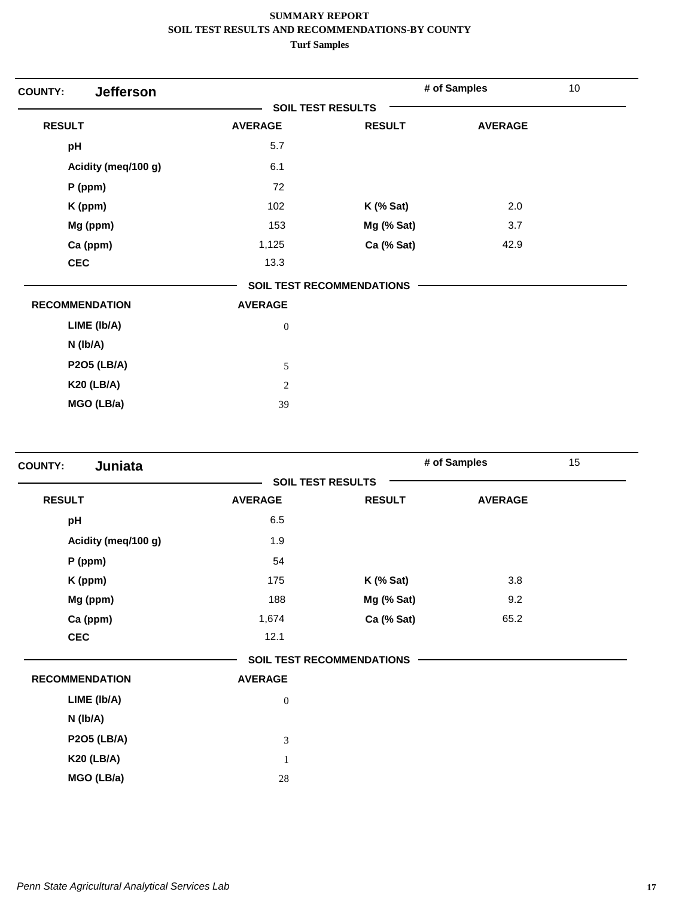| <b>Jefferson</b><br><b>COUNTY:</b> |                          |                                  | # of Samples   | 10 |
|------------------------------------|--------------------------|----------------------------------|----------------|----|
|                                    | <b>SOIL TEST RESULTS</b> |                                  |                |    |
| <b>RESULT</b>                      | <b>AVERAGE</b>           | <b>RESULT</b>                    | <b>AVERAGE</b> |    |
| pH                                 | 5.7                      |                                  |                |    |
| Acidity (meq/100 g)                | 6.1                      |                                  |                |    |
| $P$ (ppm)                          | 72                       |                                  |                |    |
| K (ppm)                            | 102                      | $K$ (% Sat)                      | 2.0            |    |
| Mg (ppm)                           | 153                      | Mg (% Sat)                       | 3.7            |    |
| Ca (ppm)                           | 1,125                    | Ca (% Sat)                       | 42.9           |    |
| <b>CEC</b>                         | 13.3                     |                                  |                |    |
|                                    |                          | <b>SOIL TEST RECOMMENDATIONS</b> |                |    |
| <b>RECOMMENDATION</b>              | <b>AVERAGE</b>           |                                  |                |    |
| LIME (Ib/A)                        | $\boldsymbol{0}$         |                                  |                |    |
| $N$ ( $lb/A$ )                     |                          |                                  |                |    |
| <b>P2O5 (LB/A)</b>                 | 5                        |                                  |                |    |
| <b>K20 (LB/A)</b>                  | $\mathbf{2}$             |                                  |                |    |
| MGO (LB/a)                         | 39                       |                                  |                |    |

| Juniata<br><b>COUNTY:</b> |                  |                                  | # of Samples   | 15 |
|---------------------------|------------------|----------------------------------|----------------|----|
|                           |                  | <b>SOIL TEST RESULTS</b>         |                |    |
| <b>RESULT</b>             | <b>AVERAGE</b>   | <b>RESULT</b>                    | <b>AVERAGE</b> |    |
| pH                        | 6.5              |                                  |                |    |
| Acidity (meq/100 g)       | 1.9              |                                  |                |    |
| P (ppm)                   | 54               |                                  |                |    |
| K (ppm)                   | 175              | $K$ (% Sat)                      | 3.8            |    |
| Mg (ppm)                  | 188              | Mg (% Sat)                       | 9.2            |    |
| Ca (ppm)                  | 1,674            | Ca (% Sat)                       | 65.2           |    |
| <b>CEC</b>                | 12.1             |                                  |                |    |
|                           |                  | <b>SOIL TEST RECOMMENDATIONS</b> |                |    |
| <b>RECOMMENDATION</b>     | <b>AVERAGE</b>   |                                  |                |    |
| LIME (Ib/A)               | $\boldsymbol{0}$ |                                  |                |    |
| N (lb/A)                  |                  |                                  |                |    |
| <b>P2O5 (LB/A)</b>        | 3                |                                  |                |    |
| <b>K20 (LB/A)</b>         | $\mathbf{1}$     |                                  |                |    |
| MGO (LB/a)                | 28               |                                  |                |    |
|                           |                  |                                  |                |    |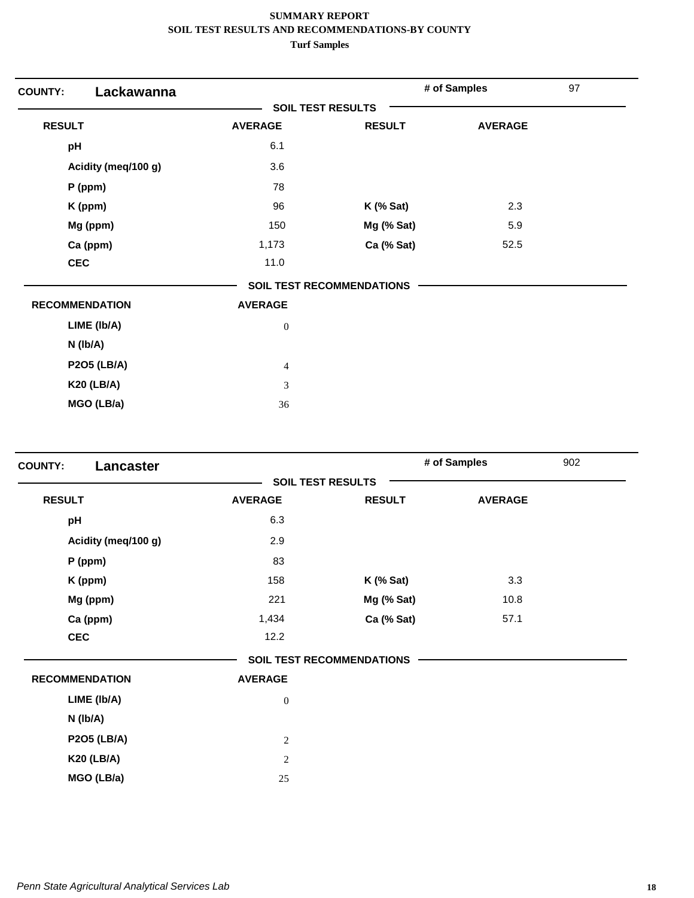| Lackawanna<br><b>COUNTY:</b> |                          |                                  | # of Samples   | 97 |
|------------------------------|--------------------------|----------------------------------|----------------|----|
|                              | <b>SOIL TEST RESULTS</b> |                                  |                |    |
| <b>RESULT</b>                | <b>AVERAGE</b>           | <b>RESULT</b>                    | <b>AVERAGE</b> |    |
| pH                           | 6.1                      |                                  |                |    |
| Acidity (meq/100 g)          | 3.6                      |                                  |                |    |
| $P$ (ppm)                    | 78                       |                                  |                |    |
| K (ppm)                      | 96                       | $K$ (% Sat)                      | 2.3            |    |
| Mg (ppm)                     | 150                      | Mg (% Sat)                       | 5.9            |    |
| Ca (ppm)                     | 1,173                    | Ca (% Sat)                       | 52.5           |    |
| <b>CEC</b>                   | 11.0                     |                                  |                |    |
|                              |                          | <b>SOIL TEST RECOMMENDATIONS</b> |                |    |
| <b>RECOMMENDATION</b>        | <b>AVERAGE</b>           |                                  |                |    |
| LIME (Ib/A)                  | $\boldsymbol{0}$         |                                  |                |    |
| $N$ (lb/A)                   |                          |                                  |                |    |
| <b>P2O5 (LB/A)</b>           | $\overline{4}$           |                                  |                |    |
| <b>K20 (LB/A)</b>            | 3                        |                                  |                |    |
| MGO (LB/a)                   | 36                       |                                  |                |    |

| Lancaster<br><b>COUNTY:</b> |                          |                                  | # of Samples   | 902 |
|-----------------------------|--------------------------|----------------------------------|----------------|-----|
|                             | <b>SOIL TEST RESULTS</b> |                                  |                |     |
| <b>RESULT</b>               | <b>AVERAGE</b>           | <b>RESULT</b>                    | <b>AVERAGE</b> |     |
| pH                          | 6.3                      |                                  |                |     |
| Acidity (meq/100 g)         | 2.9                      |                                  |                |     |
| $P$ (ppm)                   | 83                       |                                  |                |     |
| K (ppm)                     | 158                      | $K$ (% Sat)                      | 3.3            |     |
| Mg (ppm)                    | 221                      | Mg (% Sat)                       | 10.8           |     |
| Ca (ppm)                    | 1,434                    | Ca (% Sat)                       | 57.1           |     |
| <b>CEC</b>                  | 12.2                     |                                  |                |     |
|                             |                          | <b>SOIL TEST RECOMMENDATIONS</b> |                |     |
| <b>RECOMMENDATION</b>       | <b>AVERAGE</b>           |                                  |                |     |
| LIME (Ib/A)                 | $\boldsymbol{0}$         |                                  |                |     |
| N (Ib/A)                    |                          |                                  |                |     |
| <b>P2O5 (LB/A)</b>          | $\sqrt{2}$               |                                  |                |     |
| <b>K20 (LB/A)</b>           | $\overline{c}$           |                                  |                |     |
| MGO (LB/a)                  | 25                       |                                  |                |     |
|                             |                          |                                  |                |     |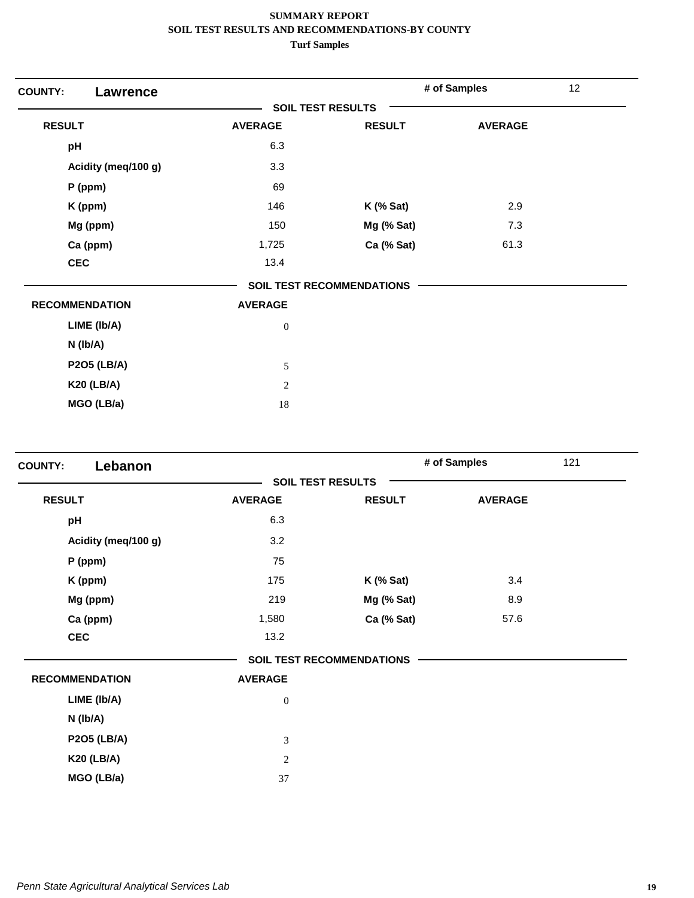| <b>COUNTY:</b><br>Lawrence |                          |                                  | # of Samples   | 12 |
|----------------------------|--------------------------|----------------------------------|----------------|----|
|                            | <b>SOIL TEST RESULTS</b> |                                  |                |    |
| <b>RESULT</b>              | <b>AVERAGE</b>           | <b>RESULT</b>                    | <b>AVERAGE</b> |    |
| pH                         | 6.3                      |                                  |                |    |
| Acidity (meq/100 g)        | 3.3                      |                                  |                |    |
| P (ppm)                    | 69                       |                                  |                |    |
| K (ppm)                    | 146                      | $K$ (% Sat)                      | 2.9            |    |
| Mg (ppm)                   | 150                      | Mg (% Sat)                       | 7.3            |    |
| Ca (ppm)                   | 1,725                    | Ca (% Sat)                       | 61.3           |    |
| <b>CEC</b>                 | 13.4                     |                                  |                |    |
|                            |                          | <b>SOIL TEST RECOMMENDATIONS</b> |                |    |
| <b>RECOMMENDATION</b>      | <b>AVERAGE</b>           |                                  |                |    |
| LIME (Ib/A)                | $\boldsymbol{0}$         |                                  |                |    |
| $N$ (lb/A)                 |                          |                                  |                |    |
| <b>P2O5 (LB/A)</b>         | 5                        |                                  |                |    |
| <b>K20 (LB/A)</b>          | $\overline{2}$           |                                  |                |    |
| MGO (LB/a)                 | 18                       |                                  |                |    |

| Lebanon<br><b>COUNTY:</b> |                          |                                  | # of Samples   | 121 |
|---------------------------|--------------------------|----------------------------------|----------------|-----|
|                           | <b>SOIL TEST RESULTS</b> |                                  |                |     |
| <b>RESULT</b>             | <b>AVERAGE</b>           | <b>RESULT</b>                    | <b>AVERAGE</b> |     |
| pH                        | 6.3                      |                                  |                |     |
| Acidity (meg/100 g)       | 3.2                      |                                  |                |     |
| P (ppm)                   | 75                       |                                  |                |     |
| K (ppm)                   | 175                      | $K$ (% Sat)                      | 3.4            |     |
| Mg (ppm)                  | 219                      | Mg (% Sat)                       | 8.9            |     |
| Ca (ppm)                  | 1,580                    | Ca (% Sat)                       | 57.6           |     |
| <b>CEC</b>                | 13.2                     |                                  |                |     |
|                           |                          | <b>SOIL TEST RECOMMENDATIONS</b> |                |     |
| <b>RECOMMENDATION</b>     | <b>AVERAGE</b>           |                                  |                |     |
| LIME (Ib/A)               | $\mathbf{0}$             |                                  |                |     |
| $N$ ( $lb/A$ )            |                          |                                  |                |     |
| <b>P2O5 (LB/A)</b>        | 3                        |                                  |                |     |
| <b>K20 (LB/A)</b>         | 2                        |                                  |                |     |
| MGO (LB/a)                | 37                       |                                  |                |     |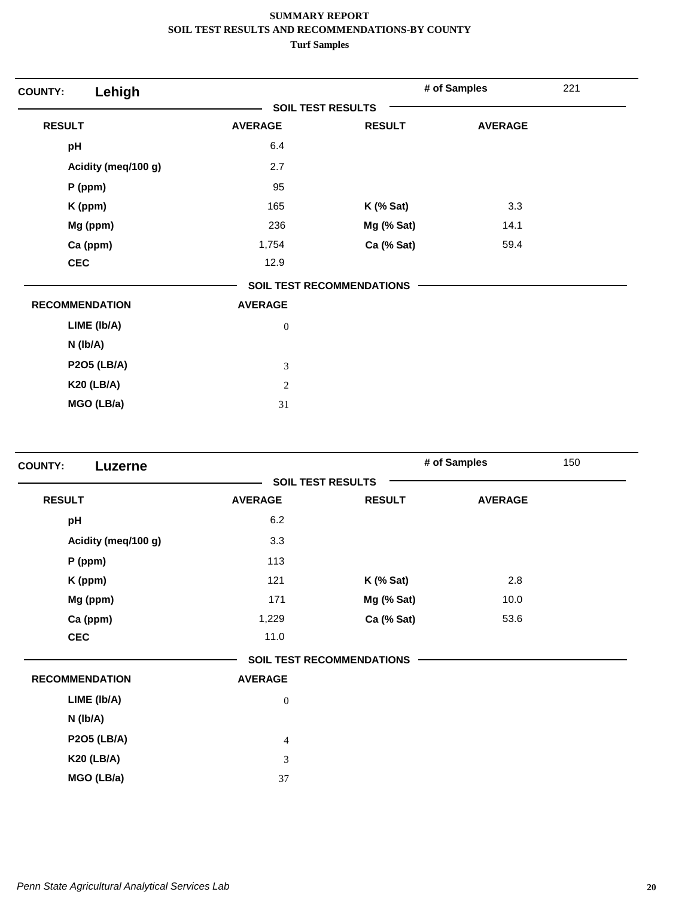| Lehigh<br><b>COUNTY:</b> |                          |                                  | # of Samples   | 221 |
|--------------------------|--------------------------|----------------------------------|----------------|-----|
|                          | <b>SOIL TEST RESULTS</b> |                                  |                |     |
| <b>RESULT</b>            | <b>AVERAGE</b>           | <b>RESULT</b>                    | <b>AVERAGE</b> |     |
| pH                       | 6.4                      |                                  |                |     |
| Acidity (meq/100 g)      | 2.7                      |                                  |                |     |
| P (ppm)                  | 95                       |                                  |                |     |
| K (ppm)                  | 165                      | $K$ (% Sat)                      | 3.3            |     |
| Mg (ppm)                 | 236                      | Mg (% Sat)                       | 14.1           |     |
| Ca (ppm)                 | 1,754                    | Ca (% Sat)                       | 59.4           |     |
| <b>CEC</b>               | 12.9                     |                                  |                |     |
|                          |                          | <b>SOIL TEST RECOMMENDATIONS</b> |                |     |
| <b>RECOMMENDATION</b>    | <b>AVERAGE</b>           |                                  |                |     |
| LIME (Ib/A)              | $\boldsymbol{0}$         |                                  |                |     |
| $N$ (lb/A)               |                          |                                  |                |     |
| <b>P2O5 (LB/A)</b>       | 3                        |                                  |                |     |
| <b>K20 (LB/A)</b>        | $\mathbf{2}$             |                                  |                |     |
| MGO (LB/a)               | 31                       |                                  |                |     |

| Luzerne                                 | <b>SOIL TEST RESULTS</b>         |                |  |
|-----------------------------------------|----------------------------------|----------------|--|
|                                         |                                  |                |  |
| <b>RESULT</b><br><b>AVERAGE</b>         | <b>RESULT</b>                    | <b>AVERAGE</b> |  |
| 6.2<br>pH                               |                                  |                |  |
| 3.3<br>Acidity (meq/100 g)              |                                  |                |  |
| 113<br>$P$ (ppm)                        |                                  |                |  |
| 121<br>K (ppm)                          | $K$ (% Sat)                      | 2.8            |  |
| Mg (ppm)<br>171                         | Mg (% Sat)                       | 10.0           |  |
| Ca (ppm)<br>1,229                       | Ca (% Sat)                       | 53.6           |  |
| <b>CEC</b><br>11.0                      |                                  |                |  |
|                                         | <b>SOIL TEST RECOMMENDATIONS</b> |                |  |
| <b>RECOMMENDATION</b><br><b>AVERAGE</b> |                                  |                |  |
| LIME (Ib/A)<br>$\boldsymbol{0}$         |                                  |                |  |
| N (Ib/A)                                |                                  |                |  |
| <b>P2O5 (LB/A)</b><br>$\overline{4}$    |                                  |                |  |
| <b>K20 (LB/A)</b><br>3                  |                                  |                |  |
| MGO (LB/a)<br>37                        |                                  |                |  |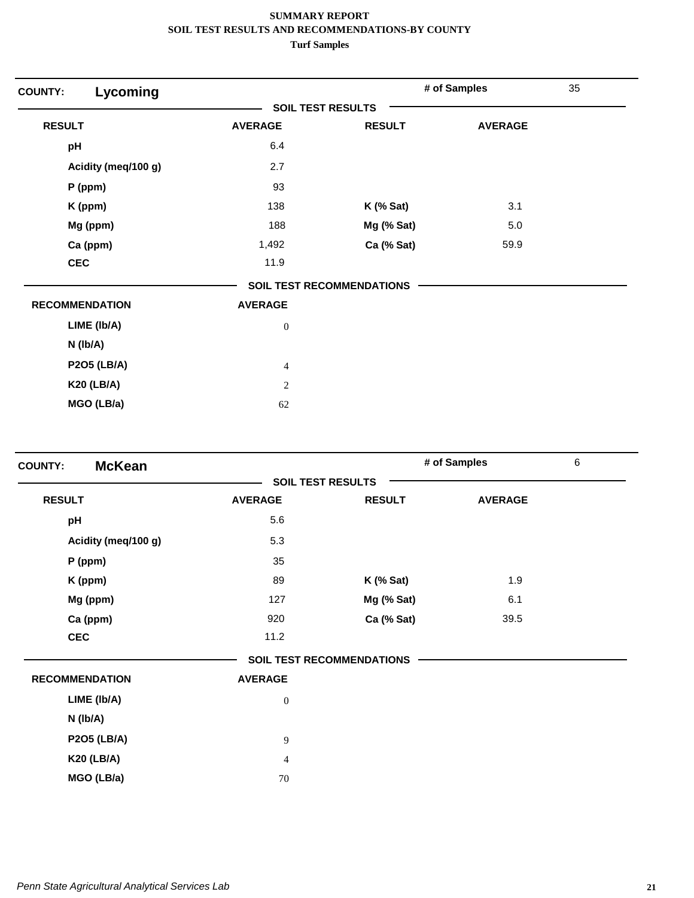| Lycoming<br><b>COUNTY:</b> |                          |                                  | # of Samples   | 35 |
|----------------------------|--------------------------|----------------------------------|----------------|----|
|                            | <b>SOIL TEST RESULTS</b> |                                  |                |    |
| <b>RESULT</b>              | <b>AVERAGE</b>           | <b>RESULT</b>                    | <b>AVERAGE</b> |    |
| pH                         | 6.4                      |                                  |                |    |
| Acidity (meq/100 g)        | 2.7                      |                                  |                |    |
| $P$ (ppm)                  | 93                       |                                  |                |    |
| K (ppm)                    | 138                      | $K$ (% Sat)                      | 3.1            |    |
| Mg (ppm)                   | 188                      | Mg (% Sat)                       | 5.0            |    |
| Ca (ppm)                   | 1,492                    | Ca (% Sat)                       | 59.9           |    |
| <b>CEC</b>                 | 11.9                     |                                  |                |    |
|                            |                          | <b>SOIL TEST RECOMMENDATIONS</b> |                |    |
| <b>RECOMMENDATION</b>      | <b>AVERAGE</b>           |                                  |                |    |
| LIME (Ib/A)                | $\boldsymbol{0}$         |                                  |                |    |
| $N$ (lb/A)                 |                          |                                  |                |    |
| <b>P2O5 (LB/A)</b>         | $\overline{4}$           |                                  |                |    |
| <b>K20 (LB/A)</b>          | $\overline{2}$           |                                  |                |    |
| MGO (LB/a)                 | 62                       |                                  |                |    |

| <b>McKean</b><br><b>COUNTY:</b> |                          |                                  | # of Samples   | $\,6\,$ |
|---------------------------------|--------------------------|----------------------------------|----------------|---------|
|                                 | <b>SOIL TEST RESULTS</b> |                                  |                |         |
| <b>RESULT</b>                   | <b>AVERAGE</b>           | <b>RESULT</b>                    | <b>AVERAGE</b> |         |
| pH                              | 5.6                      |                                  |                |         |
| Acidity (meg/100 g)             | 5.3                      |                                  |                |         |
| P (ppm)                         | 35                       |                                  |                |         |
| K (ppm)                         | 89                       | $K$ (% Sat)                      | 1.9            |         |
| Mg (ppm)                        | 127                      | Mg (% Sat)                       | 6.1            |         |
| Ca (ppm)                        | 920                      | Ca (% Sat)                       | 39.5           |         |
| <b>CEC</b>                      | 11.2                     |                                  |                |         |
|                                 |                          | <b>SOIL TEST RECOMMENDATIONS</b> |                |         |
| <b>RECOMMENDATION</b>           | <b>AVERAGE</b>           |                                  |                |         |
| LIME (Ib/A)                     | $\boldsymbol{0}$         |                                  |                |         |
| $N$ ( $lb/A$ )                  |                          |                                  |                |         |
| <b>P2O5 (LB/A)</b>              | $\overline{9}$           |                                  |                |         |
| <b>K20 (LB/A)</b>               | $\overline{4}$           |                                  |                |         |
| MGO (LB/a)                      | 70                       |                                  |                |         |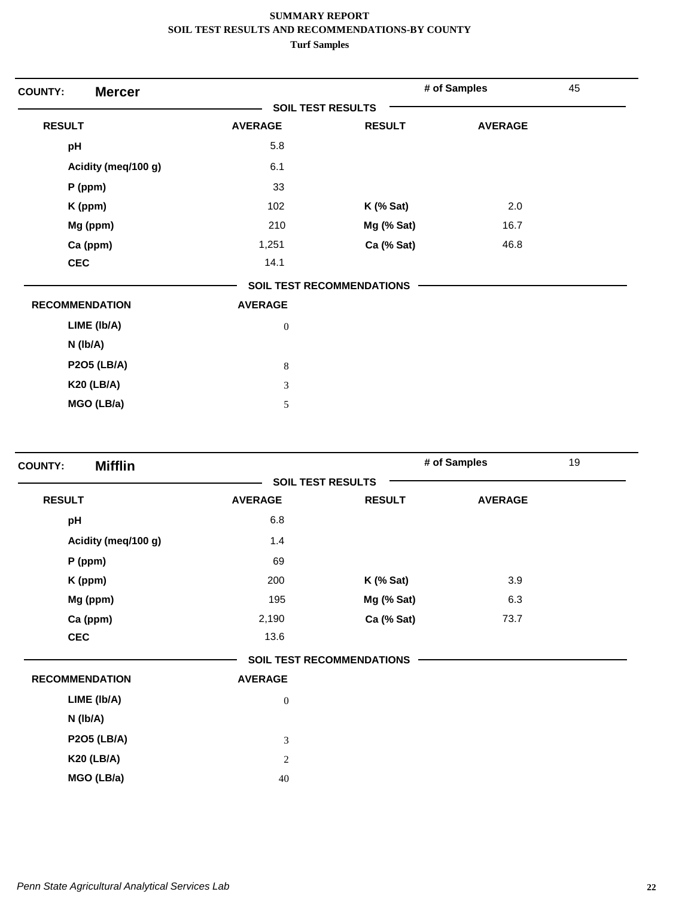| <b>Mercer</b><br><b>COUNTY:</b> |                          |                                  | # of Samples   | 45 |
|---------------------------------|--------------------------|----------------------------------|----------------|----|
|                                 | <b>SOIL TEST RESULTS</b> |                                  |                |    |
| <b>RESULT</b>                   | <b>AVERAGE</b>           | <b>RESULT</b>                    | <b>AVERAGE</b> |    |
| pH                              | 5.8                      |                                  |                |    |
| Acidity (meq/100 g)             | 6.1                      |                                  |                |    |
| P (ppm)                         | 33                       |                                  |                |    |
| K (ppm)                         | 102                      | K (% Sat)                        | 2.0            |    |
| Mg (ppm)                        | 210                      | Mg (% Sat)                       | 16.7           |    |
| Ca (ppm)                        | 1,251                    | Ca (% Sat)                       | 46.8           |    |
| <b>CEC</b>                      | 14.1                     |                                  |                |    |
|                                 |                          | <b>SOIL TEST RECOMMENDATIONS</b> |                |    |
| <b>RECOMMENDATION</b>           | <b>AVERAGE</b>           |                                  |                |    |
| LIME (Ib/A)                     | $\boldsymbol{0}$         |                                  |                |    |
| N (Ib/A)                        |                          |                                  |                |    |
| <b>P2O5 (LB/A)</b>              | $\,$ 8 $\,$              |                                  |                |    |
| <b>K20 (LB/A)</b>               | 3                        |                                  |                |    |
| MGO (LB/a)                      | 5                        |                                  |                |    |
|                                 |                          |                                  |                |    |

| <b>Mifflin</b><br><b>COUNTY:</b> |                |                                  | # of Samples   | 19 |
|----------------------------------|----------------|----------------------------------|----------------|----|
|                                  |                | <b>SOIL TEST RESULTS</b>         |                |    |
| <b>RESULT</b>                    | <b>AVERAGE</b> | <b>RESULT</b>                    | <b>AVERAGE</b> |    |
| pH                               | 6.8            |                                  |                |    |
| Acidity (meg/100 g)              | 1.4            |                                  |                |    |
| P (ppm)                          | 69             |                                  |                |    |
| K (ppm)                          | 200            | $K$ (% Sat)                      | 3.9            |    |
| Mg (ppm)                         | 195            | Mg (% Sat)                       | 6.3            |    |
| Ca (ppm)                         | 2,190          | Ca (% Sat)                       | 73.7           |    |
| <b>CEC</b>                       | 13.6           |                                  |                |    |
|                                  |                | <b>SOIL TEST RECOMMENDATIONS</b> |                |    |
| <b>RECOMMENDATION</b>            | <b>AVERAGE</b> |                                  |                |    |
| LIME (Ib/A)                      | $\mathbf{0}$   |                                  |                |    |
| $N$ ( $lb/A$ )                   |                |                                  |                |    |
| <b>P2O5 (LB/A)</b>               | 3              |                                  |                |    |
| <b>K20 (LB/A)</b>                | 2              |                                  |                |    |
| MGO (LB/a)                       | 40             |                                  |                |    |
|                                  |                |                                  |                |    |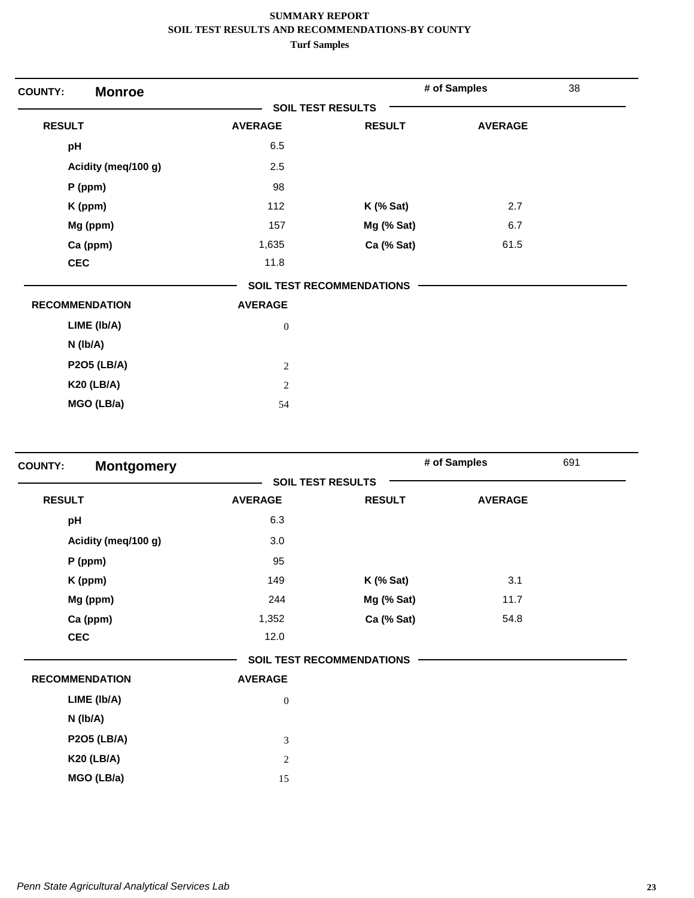| <b>Monroe</b><br><b>COUNTY:</b> |                          |                                  | # of Samples   | 38 |
|---------------------------------|--------------------------|----------------------------------|----------------|----|
|                                 | <b>SOIL TEST RESULTS</b> |                                  |                |    |
| <b>RESULT</b>                   | <b>AVERAGE</b>           | <b>RESULT</b>                    | <b>AVERAGE</b> |    |
| pH                              | 6.5                      |                                  |                |    |
| Acidity (meq/100 g)             | 2.5                      |                                  |                |    |
| P (ppm)                         | 98                       |                                  |                |    |
| K (ppm)                         | 112                      | $K$ (% Sat)                      | 2.7            |    |
| Mg (ppm)                        | 157                      | Mg (% Sat)                       | 6.7            |    |
| Ca (ppm)                        | 1,635                    | Ca (% Sat)                       | 61.5           |    |
| <b>CEC</b>                      | 11.8                     |                                  |                |    |
|                                 |                          | <b>SOIL TEST RECOMMENDATIONS</b> |                |    |
| <b>RECOMMENDATION</b>           | <b>AVERAGE</b>           |                                  |                |    |
| LIME (Ib/A)                     | $\boldsymbol{0}$         |                                  |                |    |
| $N$ (lb/A)                      |                          |                                  |                |    |
| <b>P2O5 (LB/A)</b>              | $\mathbf{2}$             |                                  |                |    |
| <b>K20 (LB/A)</b>               | $\overline{2}$           |                                  |                |    |
| MGO (LB/a)                      | 54                       |                                  |                |    |

| <b>COUNTY:</b> | <b>Montgomery</b>     |                          |                                  | # of Samples   | 691 |
|----------------|-----------------------|--------------------------|----------------------------------|----------------|-----|
|                |                       | <b>SOIL TEST RESULTS</b> |                                  |                |     |
| <b>RESULT</b>  |                       | <b>AVERAGE</b>           | <b>RESULT</b>                    | <b>AVERAGE</b> |     |
| pH             |                       | 6.3                      |                                  |                |     |
|                | Acidity (meq/100 g)   | 3.0                      |                                  |                |     |
|                | $P$ (ppm)             | 95                       |                                  |                |     |
|                | K (ppm)               | 149                      | $K$ (% Sat)                      | 3.1            |     |
|                | Mg (ppm)              | 244                      | Mg (% Sat)                       | 11.7           |     |
|                | Ca (ppm)              | 1,352                    | Ca (% Sat)                       | 54.8           |     |
|                | <b>CEC</b>            | 12.0                     |                                  |                |     |
|                |                       |                          | <b>SOIL TEST RECOMMENDATIONS</b> |                |     |
|                | <b>RECOMMENDATION</b> | <b>AVERAGE</b>           |                                  |                |     |
|                | LIME (Ib/A)           | $\boldsymbol{0}$         |                                  |                |     |
|                | $N$ (lb/A)            |                          |                                  |                |     |
|                | <b>P2O5 (LB/A)</b>    | 3                        |                                  |                |     |
|                | <b>K20 (LB/A)</b>     | $\overline{c}$           |                                  |                |     |
|                | MGO (LB/a)            | 15                       |                                  |                |     |
|                |                       |                          |                                  |                |     |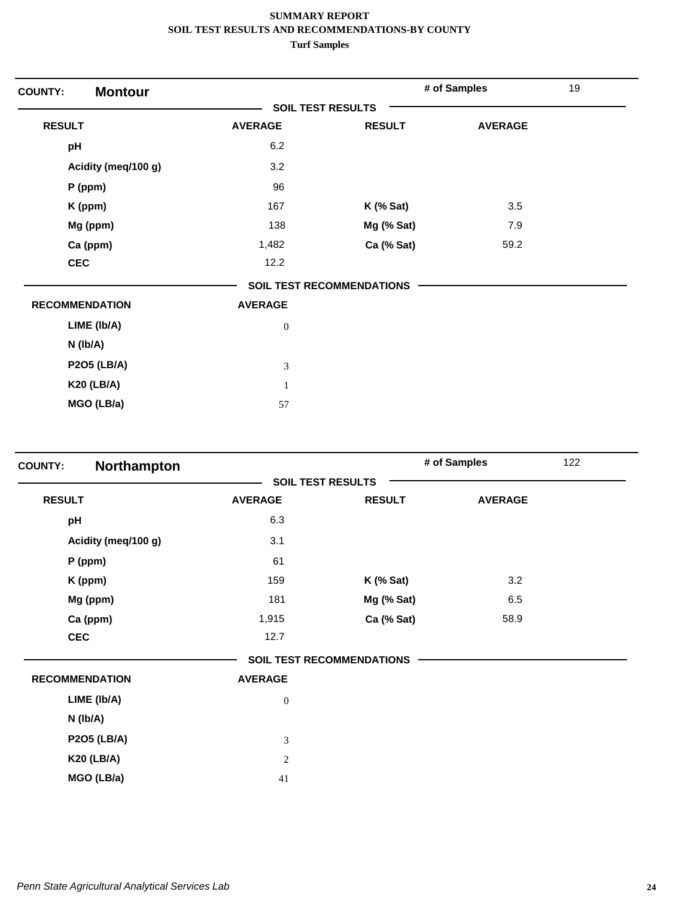| <b>Montour</b><br><b>COUNTY:</b> |                          |                                  | # of Samples   | 19 |
|----------------------------------|--------------------------|----------------------------------|----------------|----|
|                                  | <b>SOIL TEST RESULTS</b> |                                  |                |    |
| <b>RESULT</b>                    | <b>AVERAGE</b>           | <b>RESULT</b>                    | <b>AVERAGE</b> |    |
| pH                               | 6.2                      |                                  |                |    |
| Acidity (meq/100 g)              | 3.2                      |                                  |                |    |
| $P$ (ppm)                        | 96                       |                                  |                |    |
| K (ppm)                          | 167                      | $K$ (% Sat)                      | 3.5            |    |
| Mg (ppm)                         | 138                      | Mg (% Sat)                       | 7.9            |    |
| Ca (ppm)                         | 1,482                    | Ca (% Sat)                       | 59.2           |    |
| <b>CEC</b>                       | 12.2                     |                                  |                |    |
|                                  |                          | <b>SOIL TEST RECOMMENDATIONS</b> |                |    |
| <b>RECOMMENDATION</b>            | <b>AVERAGE</b>           |                                  |                |    |
| LIME (Ib/A)                      | $\boldsymbol{0}$         |                                  |                |    |
| $N$ (lb/A)                       |                          |                                  |                |    |
| <b>P2O5 (LB/A)</b>               | $\mathfrak{Z}$           |                                  |                |    |
| <b>K20 (LB/A)</b>                | $\mathbf{1}$             |                                  |                |    |
| MGO (LB/a)                       | 57                       |                                  |                |    |

| <b>COUNTY:</b>        | Northampton         |                  |                                  | 122<br># of Samples |  |
|-----------------------|---------------------|------------------|----------------------------------|---------------------|--|
|                       |                     |                  | <b>SOIL TEST RESULTS</b>         |                     |  |
| <b>RESULT</b>         |                     | <b>AVERAGE</b>   | <b>RESULT</b>                    | <b>AVERAGE</b>      |  |
| pH                    |                     | 6.3              |                                  |                     |  |
|                       | Acidity (meq/100 g) | 3.1              |                                  |                     |  |
|                       | $P$ (ppm)           | 61               |                                  |                     |  |
|                       | K (ppm)             | 159              | $K$ (% Sat)                      | 3.2                 |  |
|                       | Mg (ppm)            | 181              | Mg (% Sat)                       | 6.5                 |  |
|                       | Ca (ppm)            | 1,915            | Ca (% Sat)                       | 58.9                |  |
| <b>CEC</b>            |                     | 12.7             |                                  |                     |  |
|                       |                     |                  | <b>SOIL TEST RECOMMENDATIONS</b> |                     |  |
| <b>RECOMMENDATION</b> |                     | <b>AVERAGE</b>   |                                  |                     |  |
|                       | LIME (Ib/A)         | $\boldsymbol{0}$ |                                  |                     |  |
|                       | N (lb/A)            |                  |                                  |                     |  |
|                       | <b>P2O5 (LB/A)</b>  | 3                |                                  |                     |  |
|                       | <b>K20 (LB/A)</b>   | $\overline{c}$   |                                  |                     |  |
|                       | MGO (LB/a)          | 41               |                                  |                     |  |
|                       |                     |                  |                                  |                     |  |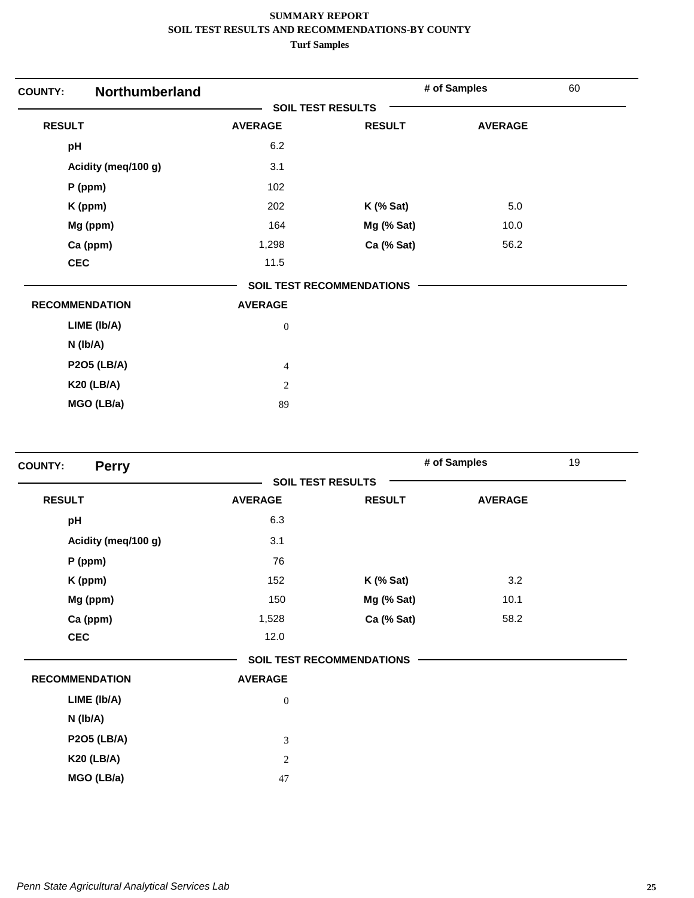| <b>COUNTY:</b>        | Northumberland      |                          |                                  | # of Samples   | 60 |
|-----------------------|---------------------|--------------------------|----------------------------------|----------------|----|
|                       |                     | <b>SOIL TEST RESULTS</b> |                                  |                |    |
| <b>RESULT</b>         |                     | <b>AVERAGE</b>           | <b>RESULT</b>                    | <b>AVERAGE</b> |    |
| pH                    |                     | 6.2                      |                                  |                |    |
|                       | Acidity (meq/100 g) | 3.1                      |                                  |                |    |
| P (ppm)               |                     | 102                      |                                  |                |    |
|                       | K (ppm)             | 202                      | $K$ (% Sat)                      | 5.0            |    |
|                       | Mg (ppm)            | 164                      | Mg (% Sat)                       | 10.0           |    |
|                       | Ca (ppm)            | 1,298                    | Ca (% Sat)                       | 56.2           |    |
| <b>CEC</b>            |                     | 11.5                     |                                  |                |    |
|                       |                     |                          | <b>SOIL TEST RECOMMENDATIONS</b> |                |    |
| <b>RECOMMENDATION</b> |                     | <b>AVERAGE</b>           |                                  |                |    |
|                       | LIME (Ib/A)         | $\boldsymbol{0}$         |                                  |                |    |
| $N$ (lb/A)            |                     |                          |                                  |                |    |
|                       | <b>P2O5 (LB/A)</b>  | $\overline{4}$           |                                  |                |    |
|                       | <b>K20 (LB/A)</b>   | $\mathbf{2}$             |                                  |                |    |
|                       | MGO (LB/a)          | 89                       |                                  |                |    |

| <b>Perry</b><br><b>COUNTY:</b> |                |                                  | # of Samples   | 19 |
|--------------------------------|----------------|----------------------------------|----------------|----|
|                                |                | <b>SOIL TEST RESULTS</b>         |                |    |
| <b>RESULT</b>                  | <b>AVERAGE</b> | <b>RESULT</b>                    | <b>AVERAGE</b> |    |
| pH                             | 6.3            |                                  |                |    |
| Acidity (meg/100 g)            | 3.1            |                                  |                |    |
| P (ppm)                        | 76             |                                  |                |    |
| K (ppm)                        | 152            | $K$ (% Sat)                      | 3.2            |    |
| Mg (ppm)                       | 150            | Mg (% Sat)                       | 10.1           |    |
| Ca (ppm)                       | 1,528          | Ca (% Sat)                       | 58.2           |    |
| <b>CEC</b>                     | 12.0           |                                  |                |    |
|                                |                | <b>SOIL TEST RECOMMENDATIONS</b> |                |    |
| <b>RECOMMENDATION</b>          | <b>AVERAGE</b> |                                  |                |    |
| LIME (Ib/A)                    | $\mathbf{0}$   |                                  |                |    |
| $N$ ( $lb/A$ )                 |                |                                  |                |    |
| <b>P2O5 (LB/A)</b>             | 3              |                                  |                |    |
| <b>K20 (LB/A)</b>              | 2              |                                  |                |    |
| MGO (LB/a)                     | 47             |                                  |                |    |
|                                |                |                                  |                |    |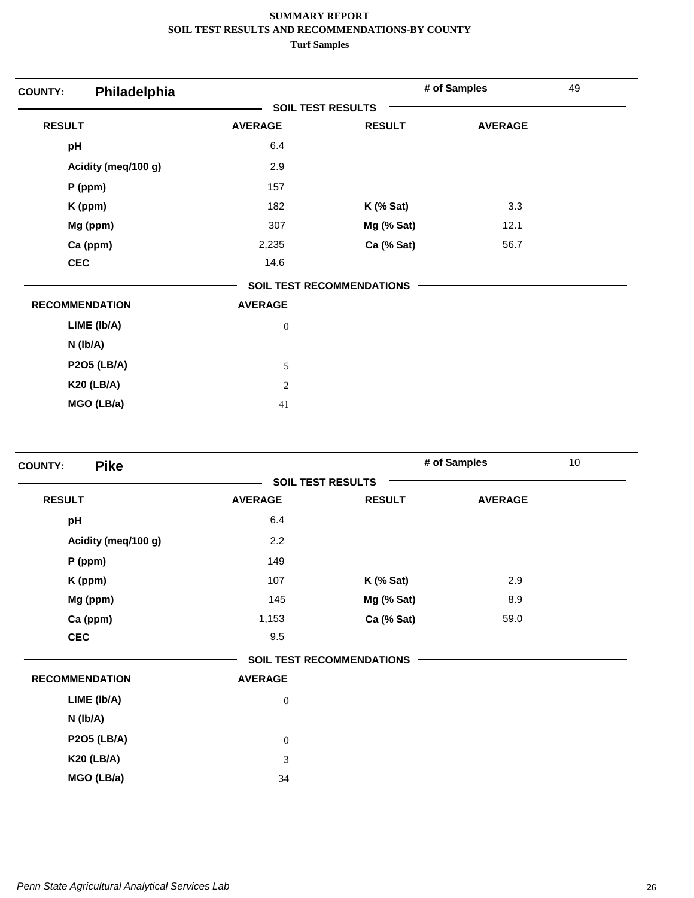| Philadelphia<br><b>COUNTY:</b> |                          |                                  | # of Samples   | 49 |
|--------------------------------|--------------------------|----------------------------------|----------------|----|
|                                | <b>SOIL TEST RESULTS</b> |                                  |                |    |
| <b>RESULT</b>                  | <b>AVERAGE</b>           | <b>RESULT</b>                    | <b>AVERAGE</b> |    |
| pH                             | 6.4                      |                                  |                |    |
| Acidity (meq/100 g)            | 2.9                      |                                  |                |    |
| P (ppm)                        | 157                      |                                  |                |    |
| K (ppm)                        | 182                      | $K$ (% Sat)                      | 3.3            |    |
| Mg (ppm)                       | 307                      | Mg (% Sat)                       | 12.1           |    |
| Ca (ppm)                       | 2,235                    | Ca (% Sat)                       | 56.7           |    |
| <b>CEC</b>                     | 14.6                     |                                  |                |    |
|                                |                          | <b>SOIL TEST RECOMMENDATIONS</b> |                |    |
| <b>RECOMMENDATION</b>          | <b>AVERAGE</b>           |                                  |                |    |
| LIME (Ib/A)                    | $\boldsymbol{0}$         |                                  |                |    |
| $N$ (lb/A)                     |                          |                                  |                |    |
| <b>P2O5 (LB/A)</b>             | 5                        |                                  |                |    |
| <b>K20 (LB/A)</b>              | $\overline{2}$           |                                  |                |    |
| MGO (LB/a)                     | 41                       |                                  |                |    |

| <b>Pike</b><br><b>COUNTY:</b> |                  |                                  | # of Samples   | 10 |
|-------------------------------|------------------|----------------------------------|----------------|----|
|                               |                  | <b>SOIL TEST RESULTS</b>         |                |    |
| <b>RESULT</b>                 | <b>AVERAGE</b>   | <b>RESULT</b>                    | <b>AVERAGE</b> |    |
| pH                            | 6.4              |                                  |                |    |
| Acidity (meq/100 g)           | 2.2              |                                  |                |    |
| $P$ (ppm)                     | 149              |                                  |                |    |
| K (ppm)                       | 107              | $K$ (% Sat)                      | 2.9            |    |
| Mg (ppm)                      | 145              | Mg (% Sat)                       | 8.9            |    |
| Ca (ppm)                      | 1,153            | Ca (% Sat)                       | 59.0           |    |
| <b>CEC</b>                    | 9.5              |                                  |                |    |
|                               |                  | <b>SOIL TEST RECOMMENDATIONS</b> |                |    |
| <b>RECOMMENDATION</b>         | <b>AVERAGE</b>   |                                  |                |    |
| LIME (Ib/A)                   | $\boldsymbol{0}$ |                                  |                |    |
| N (lb/A)                      |                  |                                  |                |    |
| <b>P2O5 (LB/A)</b>            | $\boldsymbol{0}$ |                                  |                |    |
| <b>K20 (LB/A)</b>             | 3                |                                  |                |    |
| MGO (LB/a)                    | 34               |                                  |                |    |
|                               |                  |                                  |                |    |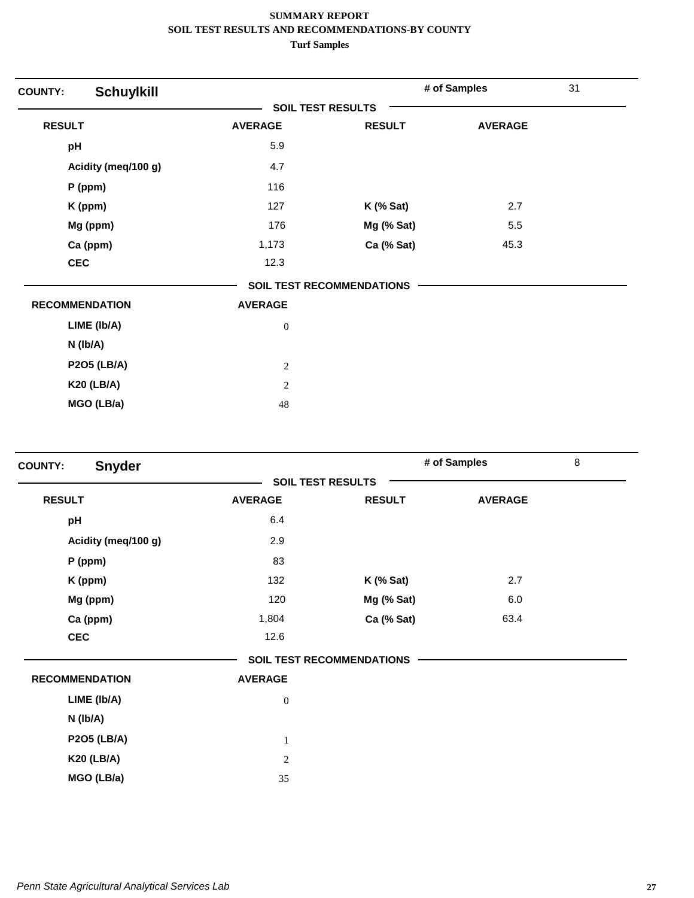| <b>COUNTY:</b>        | <b>Schuylkill</b>   |                          |                                  | # of Samples   | 31 |
|-----------------------|---------------------|--------------------------|----------------------------------|----------------|----|
|                       |                     | <b>SOIL TEST RESULTS</b> |                                  |                |    |
| <b>RESULT</b>         |                     | <b>AVERAGE</b>           | <b>RESULT</b>                    | <b>AVERAGE</b> |    |
| pH                    |                     | 5.9                      |                                  |                |    |
|                       | Acidity (meq/100 g) | 4.7                      |                                  |                |    |
|                       | $P$ (ppm)           | 116                      |                                  |                |    |
|                       | K (ppm)             | 127                      | $K$ (% Sat)                      | 2.7            |    |
|                       | Mg (ppm)            | 176                      | Mg (% Sat)                       | 5.5            |    |
|                       | Ca (ppm)            | 1,173                    | Ca (% Sat)                       | 45.3           |    |
| <b>CEC</b>            |                     | 12.3                     |                                  |                |    |
|                       |                     |                          | <b>SOIL TEST RECOMMENDATIONS</b> |                |    |
| <b>RECOMMENDATION</b> |                     | <b>AVERAGE</b>           |                                  |                |    |
|                       | LIME (Ib/A)         | $\boldsymbol{0}$         |                                  |                |    |
|                       | $N$ (lb/A)          |                          |                                  |                |    |
|                       | <b>P2O5 (LB/A)</b>  | $\mathbf{2}$             |                                  |                |    |
|                       | <b>K20 (LB/A)</b>   | $\mathbf{2}$             |                                  |                |    |
|                       | MGO (LB/a)          | 48                       |                                  |                |    |

| <b>Snyder</b><br><b>COUNTY:</b> |                  |                                  | # of Samples   | 8 |
|---------------------------------|------------------|----------------------------------|----------------|---|
|                                 |                  | <b>SOIL TEST RESULTS</b>         |                |   |
| <b>RESULT</b>                   | <b>AVERAGE</b>   | <b>RESULT</b>                    | <b>AVERAGE</b> |   |
| pH                              | 6.4              |                                  |                |   |
| Acidity (meq/100 g)             | 2.9              |                                  |                |   |
| P (ppm)                         | 83               |                                  |                |   |
| K (ppm)                         | 132              | $K$ (% Sat)                      | 2.7            |   |
| Mg (ppm)                        | 120              | Mg (% Sat)                       | 6.0            |   |
| Ca (ppm)                        | 1,804            | Ca (% Sat)                       | 63.4           |   |
| <b>CEC</b>                      | 12.6             |                                  |                |   |
|                                 |                  | <b>SOIL TEST RECOMMENDATIONS</b> |                |   |
| <b>RECOMMENDATION</b>           | <b>AVERAGE</b>   |                                  |                |   |
| LIME (Ib/A)                     | $\boldsymbol{0}$ |                                  |                |   |
| N (Ib/A)                        |                  |                                  |                |   |
| <b>P2O5 (LB/A)</b>              | $\mathbf{1}$     |                                  |                |   |
| <b>K20 (LB/A)</b>               | $\overline{c}$   |                                  |                |   |
| MGO (LB/a)                      | 35               |                                  |                |   |
|                                 |                  |                                  |                |   |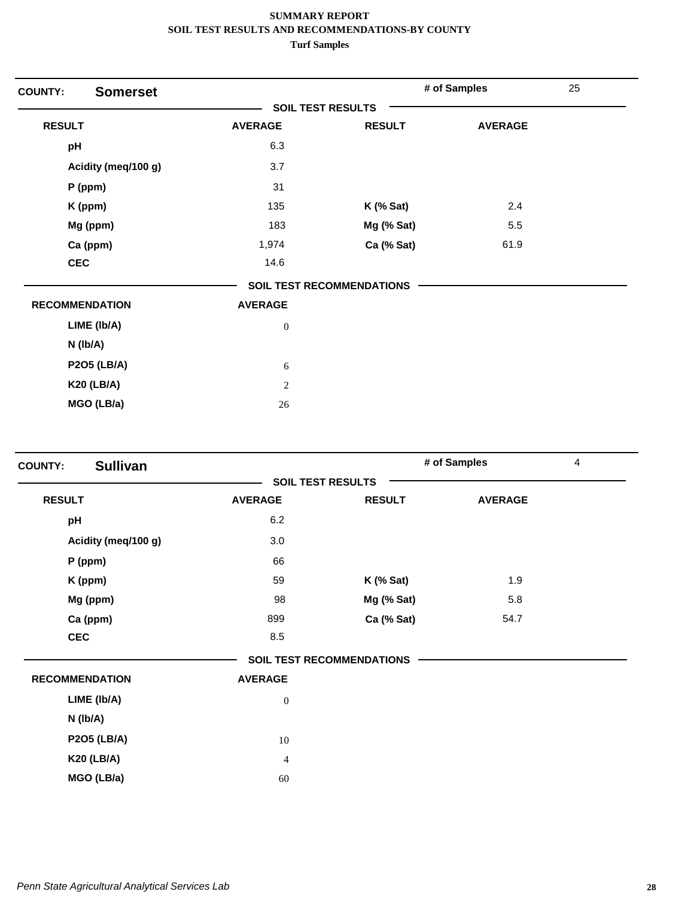| <b>COUNTY:</b>        | <b>Somerset</b>     |                          |                                  | # of Samples   | 25 |
|-----------------------|---------------------|--------------------------|----------------------------------|----------------|----|
|                       |                     | <b>SOIL TEST RESULTS</b> |                                  |                |    |
| <b>RESULT</b>         |                     | <b>AVERAGE</b>           | <b>RESULT</b>                    | <b>AVERAGE</b> |    |
| pH                    |                     | 6.3                      |                                  |                |    |
|                       | Acidity (meq/100 g) | 3.7                      |                                  |                |    |
|                       | $P$ (ppm)           | 31                       |                                  |                |    |
|                       | K (ppm)             | 135                      | $K$ (% Sat)                      | 2.4            |    |
|                       | Mg (ppm)            | 183                      | Mg (% Sat)                       | 5.5            |    |
|                       | Ca (ppm)            | 1,974                    | Ca (% Sat)                       | 61.9           |    |
| <b>CEC</b>            |                     | 14.6                     |                                  |                |    |
|                       |                     |                          | <b>SOIL TEST RECOMMENDATIONS</b> |                |    |
| <b>RECOMMENDATION</b> |                     | <b>AVERAGE</b>           |                                  |                |    |
|                       | LIME (Ib/A)         | $\boldsymbol{0}$         |                                  |                |    |
|                       | $N$ (lb/A)          |                          |                                  |                |    |
|                       | <b>P2O5 (LB/A)</b>  | 6                        |                                  |                |    |
|                       | <b>K20 (LB/A)</b>   | $\mathbf{2}$             |                                  |                |    |
|                       | MGO (LB/a)          | 26                       |                                  |                |    |

| <b>Sullivan</b><br><b>COUNTY:</b> |                  |                                  | # of Samples   | $\overline{4}$ |
|-----------------------------------|------------------|----------------------------------|----------------|----------------|
|                                   |                  | <b>SOIL TEST RESULTS</b>         |                |                |
| <b>RESULT</b>                     | <b>AVERAGE</b>   | <b>RESULT</b>                    | <b>AVERAGE</b> |                |
| pH                                | 6.2              |                                  |                |                |
| Acidity (meg/100 g)               | 3.0              |                                  |                |                |
| P (ppm)                           | 66               |                                  |                |                |
| K (ppm)                           | 59               | $K$ (% Sat)                      | 1.9            |                |
| Mg (ppm)                          | 98               | Mg (% Sat)                       | 5.8            |                |
| Ca (ppm)                          | 899              | Ca (% Sat)                       | 54.7           |                |
| <b>CEC</b>                        | 8.5              |                                  |                |                |
|                                   |                  | <b>SOIL TEST RECOMMENDATIONS</b> |                |                |
| <b>RECOMMENDATION</b>             | <b>AVERAGE</b>   |                                  |                |                |
| LIME (Ib/A)                       | $\boldsymbol{0}$ |                                  |                |                |
| $N$ ( $lb/A$ )                    |                  |                                  |                |                |
| <b>P2O5 (LB/A)</b>                | 10               |                                  |                |                |
| <b>K20 (LB/A)</b>                 | $\overline{4}$   |                                  |                |                |
| MGO (LB/a)                        | 60               |                                  |                |                |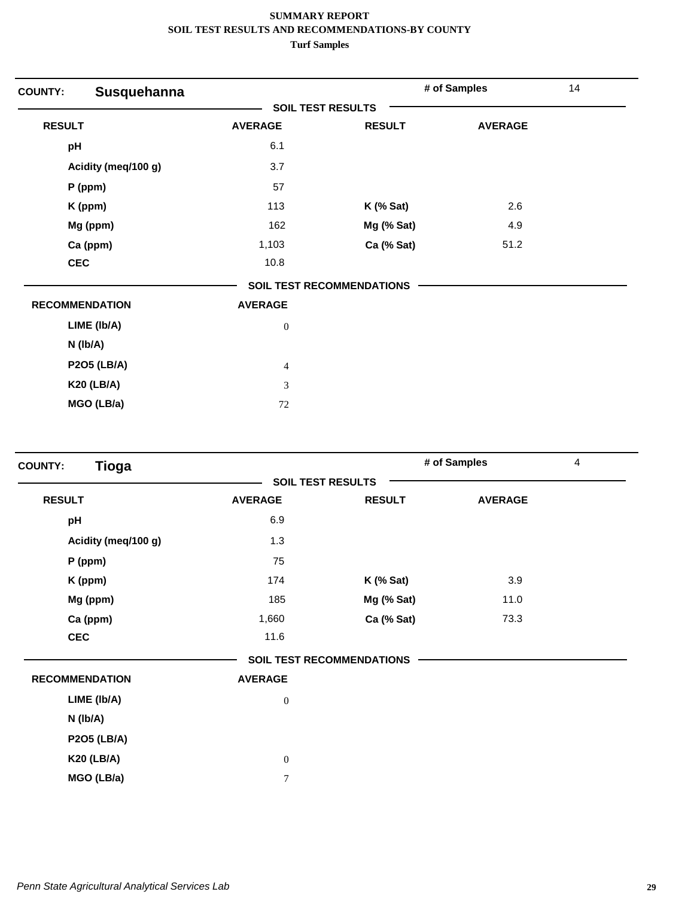| Susquehanna<br><b>COUNTY:</b> |                          |                                  | # of Samples   | 14 |
|-------------------------------|--------------------------|----------------------------------|----------------|----|
|                               | <b>SOIL TEST RESULTS</b> |                                  |                |    |
| <b>RESULT</b>                 | <b>AVERAGE</b>           | <b>RESULT</b>                    | <b>AVERAGE</b> |    |
| pH                            | 6.1                      |                                  |                |    |
| Acidity (meq/100 g)           | 3.7                      |                                  |                |    |
| $P$ (ppm)                     | 57                       |                                  |                |    |
| K (ppm)                       | 113                      | $K$ (% Sat)                      | 2.6            |    |
| Mg (ppm)                      | 162                      | Mg (% Sat)                       | 4.9            |    |
| Ca (ppm)                      | 1,103                    | Ca (% Sat)                       | 51.2           |    |
| <b>CEC</b>                    | 10.8                     |                                  |                |    |
|                               |                          | <b>SOIL TEST RECOMMENDATIONS</b> |                |    |
| <b>RECOMMENDATION</b>         | <b>AVERAGE</b>           |                                  |                |    |
| LIME (Ib/A)                   | $\boldsymbol{0}$         |                                  |                |    |
| $N$ (lb/A)                    |                          |                                  |                |    |
| <b>P2O5 (LB/A)</b>            | $\overline{4}$           |                                  |                |    |
| <b>K20 (LB/A)</b>             | 3                        |                                  |                |    |
| MGO (LB/a)                    | 72                       |                                  |                |    |

| <b>Tioga</b><br><b>COUNTY:</b> |                          |                                  | # of Samples   | 4 |
|--------------------------------|--------------------------|----------------------------------|----------------|---|
|                                | <b>SOIL TEST RESULTS</b> |                                  |                |   |
| <b>RESULT</b>                  | <b>AVERAGE</b>           | <b>RESULT</b>                    | <b>AVERAGE</b> |   |
| pH                             | 6.9                      |                                  |                |   |
| Acidity (meq/100 g)            | 1.3                      |                                  |                |   |
| P (ppm)                        | 75                       |                                  |                |   |
| K (ppm)                        | 174                      | $K$ (% Sat)                      | 3.9            |   |
| Mg (ppm)                       | 185                      | Mg (% Sat)                       | 11.0           |   |
| Ca (ppm)                       | 1,660                    | Ca (% Sat)                       | 73.3           |   |
| <b>CEC</b>                     | 11.6                     |                                  |                |   |
|                                |                          | <b>SOIL TEST RECOMMENDATIONS</b> |                |   |
| <b>RECOMMENDATION</b>          | <b>AVERAGE</b>           |                                  |                |   |
| LIME (Ib/A)                    | $\boldsymbol{0}$         |                                  |                |   |
| N (lb/A)                       |                          |                                  |                |   |
| <b>P2O5 (LB/A)</b>             |                          |                                  |                |   |
| <b>K20 (LB/A)</b>              | $\boldsymbol{0}$         |                                  |                |   |
| MGO (LB/a)                     | $\overline{7}$           |                                  |                |   |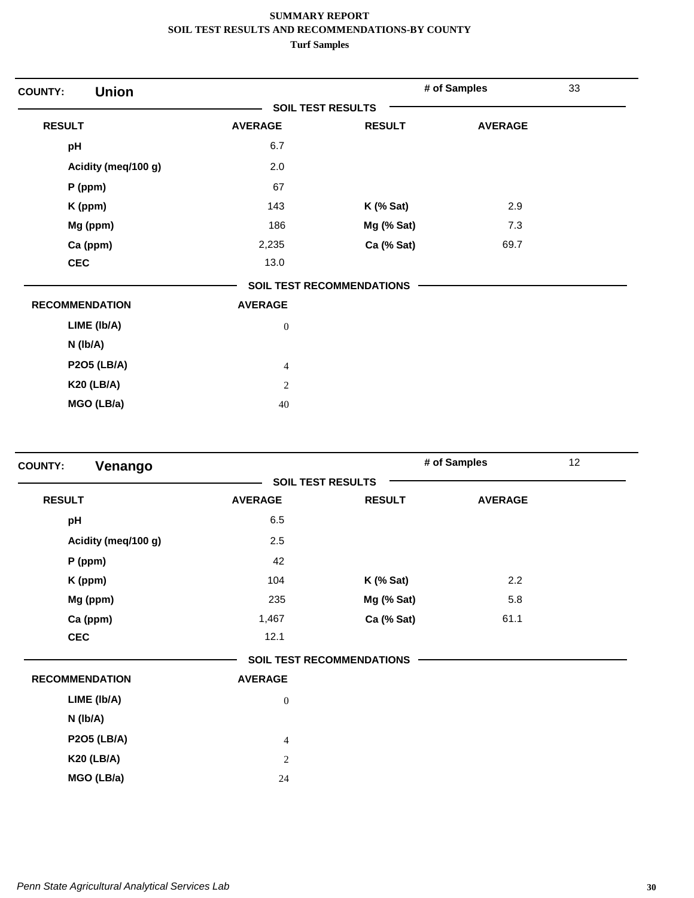| <b>Union</b><br><b>COUNTY:</b> |                          |                                  | # of Samples   | 33 |
|--------------------------------|--------------------------|----------------------------------|----------------|----|
|                                | <b>SOIL TEST RESULTS</b> |                                  |                |    |
| <b>RESULT</b>                  | <b>AVERAGE</b>           | <b>RESULT</b>                    | <b>AVERAGE</b> |    |
| pH                             | 6.7                      |                                  |                |    |
| Acidity (meq/100 g)            | 2.0                      |                                  |                |    |
| $P$ (ppm)                      | 67                       |                                  |                |    |
| K (ppm)                        | 143                      | $K$ (% Sat)                      | 2.9            |    |
| Mg (ppm)                       | 186                      | Mg (% Sat)                       | 7.3            |    |
| Ca (ppm)                       | 2,235                    | Ca (% Sat)                       | 69.7           |    |
| <b>CEC</b>                     | 13.0                     |                                  |                |    |
|                                |                          | <b>SOIL TEST RECOMMENDATIONS</b> |                |    |
| <b>RECOMMENDATION</b>          | <b>AVERAGE</b>           |                                  |                |    |
| LIME (Ib/A)                    | $\boldsymbol{0}$         |                                  |                |    |
| $N$ ( $lb/A$ )                 |                          |                                  |                |    |
| <b>P2O5 (LB/A)</b>             | $\overline{4}$           |                                  |                |    |
| <b>K20 (LB/A)</b>              | $\sqrt{2}$               |                                  |                |    |
| MGO (LB/a)                     | 40                       |                                  |                |    |

| Venango<br><b>COUNTY:</b> |                |                                  | # of Samples   | 12 <sub>2</sub> |
|---------------------------|----------------|----------------------------------|----------------|-----------------|
|                           |                | <b>SOIL TEST RESULTS</b>         |                |                 |
| <b>RESULT</b>             | <b>AVERAGE</b> | <b>RESULT</b>                    | <b>AVERAGE</b> |                 |
| pH                        | 6.5            |                                  |                |                 |
| Acidity (meg/100 g)       | 2.5            |                                  |                |                 |
| P (ppm)                   | 42             |                                  |                |                 |
| K (ppm)                   | 104            | $K$ (% Sat)                      | 2.2            |                 |
| Mg (ppm)                  | 235            | Mg (% Sat)                       | 5.8            |                 |
| Ca (ppm)                  | 1,467          | Ca (% Sat)                       | 61.1           |                 |
| <b>CEC</b>                | 12.1           |                                  |                |                 |
|                           |                | <b>SOIL TEST RECOMMENDATIONS</b> |                |                 |
| <b>RECOMMENDATION</b>     | <b>AVERAGE</b> |                                  |                |                 |
| LIME (Ib/A)               | $\mathbf{0}$   |                                  |                |                 |
| $N$ ( $lb/A$ )            |                |                                  |                |                 |
| <b>P2O5 (LB/A)</b>        | $\overline{4}$ |                                  |                |                 |
| <b>K20 (LB/A)</b>         | 2              |                                  |                |                 |
| MGO (LB/a)                | 24             |                                  |                |                 |
|                           |                |                                  |                |                 |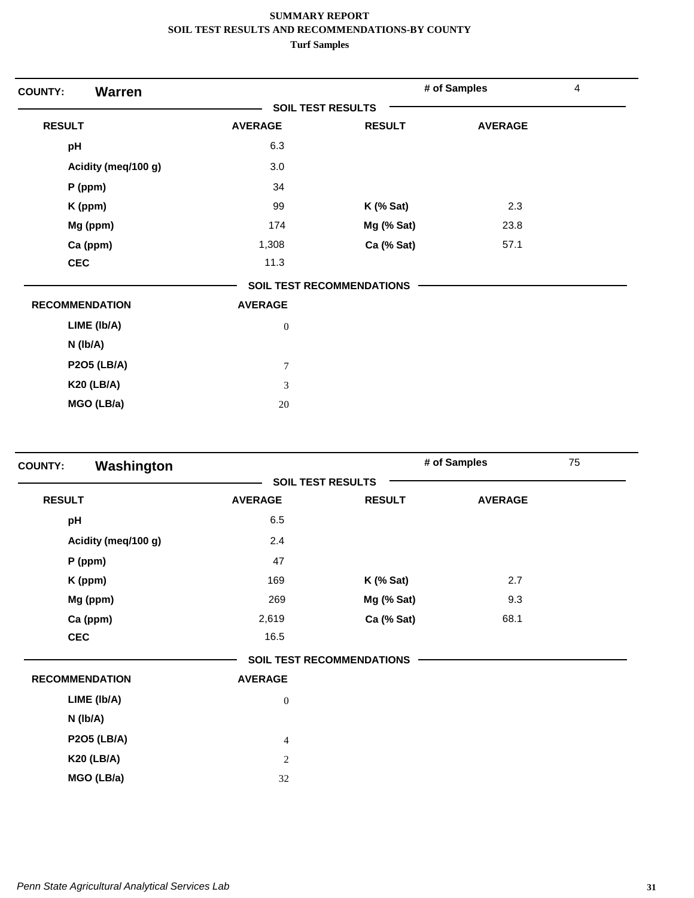| <b>Warren</b><br><b>COUNTY:</b> |                          |                           | # of Samples   | 4 |
|---------------------------------|--------------------------|---------------------------|----------------|---|
|                                 | <b>SOIL TEST RESULTS</b> |                           |                |   |
| <b>RESULT</b>                   | <b>AVERAGE</b>           | <b>RESULT</b>             | <b>AVERAGE</b> |   |
| pH                              | 6.3                      |                           |                |   |
| Acidity (meq/100 g)             | 3.0                      |                           |                |   |
| $P$ (ppm)                       | 34                       |                           |                |   |
| K (ppm)                         | 99                       | $K$ (% Sat)               | 2.3            |   |
| Mg (ppm)                        | 174                      | Mg (% Sat)                | 23.8           |   |
| Ca (ppm)                        | 1,308                    | Ca (% Sat)                | 57.1           |   |
| <b>CEC</b>                      | 11.3                     |                           |                |   |
|                                 |                          | SOIL TEST RECOMMENDATIONS |                |   |
| <b>RECOMMENDATION</b>           | <b>AVERAGE</b>           |                           |                |   |
| LIME (Ib/A)                     | $\boldsymbol{0}$         |                           |                |   |
| N (Ib/A)                        |                          |                           |                |   |
| <b>P2O5 (LB/A)</b>              | $\tau$                   |                           |                |   |
| <b>K20 (LB/A)</b>               | 3                        |                           |                |   |
| MGO (LB/a)                      | $20\,$                   |                           |                |   |

| Washington<br><b>COUNTY:</b> |                  |                                  | # of Samples   | 75 |
|------------------------------|------------------|----------------------------------|----------------|----|
|                              |                  | <b>SOIL TEST RESULTS</b>         |                |    |
| <b>RESULT</b>                | <b>AVERAGE</b>   | <b>RESULT</b>                    | <b>AVERAGE</b> |    |
| pH                           | 6.5              |                                  |                |    |
| Acidity (meq/100 g)          | 2.4              |                                  |                |    |
| P (ppm)                      | 47               |                                  |                |    |
| K (ppm)                      | 169              | $K$ (% Sat)                      | 2.7            |    |
| Mg (ppm)                     | 269              | Mg (% Sat)                       | 9.3            |    |
| Ca (ppm)                     | 2,619            | Ca (% Sat)                       | 68.1           |    |
| <b>CEC</b>                   | 16.5             |                                  |                |    |
|                              |                  | <b>SOIL TEST RECOMMENDATIONS</b> |                |    |
| <b>RECOMMENDATION</b>        | <b>AVERAGE</b>   |                                  |                |    |
| LIME (Ib/A)                  | $\boldsymbol{0}$ |                                  |                |    |
| $N$ ( $lb/A$ )               |                  |                                  |                |    |
| <b>P2O5 (LB/A)</b>           | $\overline{4}$   |                                  |                |    |
| <b>K20 (LB/A)</b>            | $\overline{2}$   |                                  |                |    |
| MGO (LB/a)                   | 32               |                                  |                |    |
|                              |                  |                                  |                |    |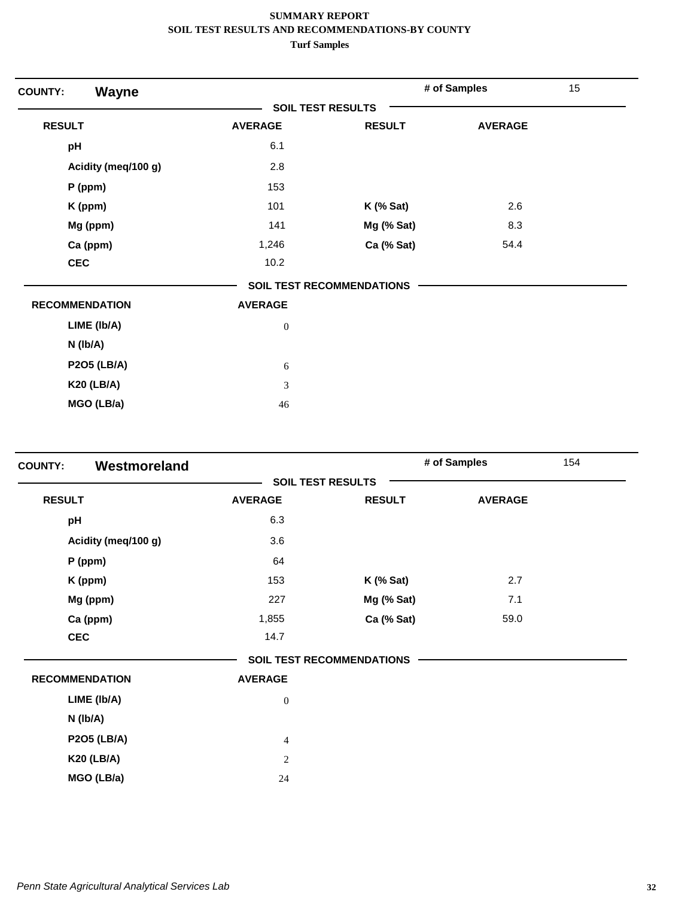| Wayne<br><b>COUNTY:</b> |                          |                                  | # of Samples   | 15 |
|-------------------------|--------------------------|----------------------------------|----------------|----|
|                         | <b>SOIL TEST RESULTS</b> |                                  |                |    |
| <b>RESULT</b>           | <b>AVERAGE</b>           | <b>RESULT</b>                    | <b>AVERAGE</b> |    |
| pH                      | 6.1                      |                                  |                |    |
| Acidity (meq/100 g)     | 2.8                      |                                  |                |    |
| $P$ (ppm)               | 153                      |                                  |                |    |
| K (ppm)                 | 101                      | $K$ (% Sat)                      | 2.6            |    |
| Mg (ppm)                | 141                      | Mg (% Sat)                       | 8.3            |    |
| Ca (ppm)                | 1,246                    | Ca (% Sat)                       | 54.4           |    |
| <b>CEC</b>              | 10.2                     |                                  |                |    |
|                         |                          | <b>SOIL TEST RECOMMENDATIONS</b> |                |    |
| <b>RECOMMENDATION</b>   | <b>AVERAGE</b>           |                                  |                |    |
| LIME (Ib/A)             | $\boldsymbol{0}$         |                                  |                |    |
| N (Ib/A)                |                          |                                  |                |    |
| <b>P2O5 (LB/A)</b>      | 6                        |                                  |                |    |
| <b>K20 (LB/A)</b>       | 3                        |                                  |                |    |
| MGO (LB/a)              | 46                       |                                  |                |    |

| <b>COUNTY:</b> | Westmoreland          |                          |                                  | # of Samples   | 154 |
|----------------|-----------------------|--------------------------|----------------------------------|----------------|-----|
|                |                       | <b>SOIL TEST RESULTS</b> |                                  |                |     |
| <b>RESULT</b>  |                       | <b>AVERAGE</b>           | <b>RESULT</b>                    | <b>AVERAGE</b> |     |
| pH             |                       | 6.3                      |                                  |                |     |
|                | Acidity (meq/100 g)   | 3.6                      |                                  |                |     |
|                | P (ppm)               | 64                       |                                  |                |     |
|                | K (ppm)               | 153                      | $K$ (% Sat)                      | 2.7            |     |
|                | Mg (ppm)              | 227                      | Mg (% Sat)                       | 7.1            |     |
|                | Ca (ppm)              | 1,855                    | Ca (% Sat)                       | 59.0           |     |
|                | <b>CEC</b>            | 14.7                     |                                  |                |     |
|                |                       |                          | <b>SOIL TEST RECOMMENDATIONS</b> |                |     |
|                | <b>RECOMMENDATION</b> | <b>AVERAGE</b>           |                                  |                |     |
|                | LIME (Ib/A)           | $\boldsymbol{0}$         |                                  |                |     |
|                | N (Ib/A)              |                          |                                  |                |     |
|                | <b>P2O5 (LB/A)</b>    | $\overline{4}$           |                                  |                |     |
|                | <b>K20 (LB/A)</b>     | $\overline{2}$           |                                  |                |     |
|                | MGO (LB/a)            | 24                       |                                  |                |     |
|                |                       |                          |                                  |                |     |